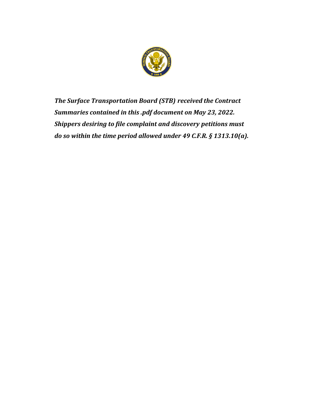

*The Surface Transportation Board (STB) received the Contract Summaries contained in this .pdf document on May 23, 2022. Shippers desiring to file complaint and discovery petitions must do so within the time period allowed under 49 C.F.R. § 1313.10(a).*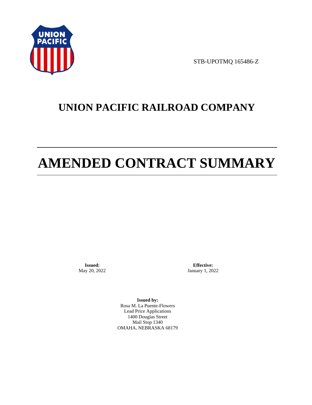

STB-UPOTMQ 165486-Z

# **UNION PACIFIC RAILROAD COMPANY**

# **AMENDED CONTRACT SUMMARY**

**Issued:**  May 20, 2022

**Effective:** January 1, 2022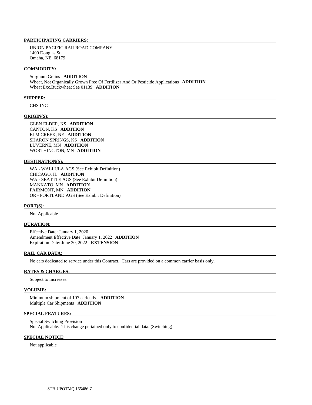UNION PACIFIC RAILROAD COMPANY 1400 Douglas St. Omaha, NE 68179

#### **COMMODITY:**

 Sorghum Grains **ADDITION**  Wheat, Not Organically Grown Free Of Fertilizer And Or Pesticide Applications **ADDITION**  Wheat Exc.Buckwheat See 01139 **ADDITION** 

#### **SHIPPER:**

CHS INC

#### **ORIGIN(S):**

 GLEN ELDER, KS **ADDITION**  CANTON, KS **ADDITION**  ELM CREEK, NE **ADDITION**  SHARON SPRINGS, KS **ADDITION**  LUVERNE, MN **ADDITION**  WORTHINGTON, MN **ADDITION** 

#### **DESTINATION(S):**

 WA - WALLULA AGS (See Exhibit Definition) CHICAGO, IL **ADDITION**  WA - SEATTLE AGS (See Exhibit Definition) MANKATO, MN **ADDITION**  FAIRMONT, MN **ADDITION**  OR - PORTLAND AGS (See Exhibit Definition)

#### **PORT(S):**

Not Applicable

#### **DURATION:**

 Effective Date: January 1, 2020 Amendment Effective Date: January 1, 2022 **ADDITION**  Expiration Date: June 30, 2022 **EXTENSION** 

# **RAIL CAR DATA:**

No cars dedicated to service under this Contract. Cars are provided on a common carrier basis only.

# **RATES & CHARGES:**

Subject to increases.

#### **VOLUME:**

 Minimum shipment of 107 carloads. **ADDITION**  Multiple Car Shipments **ADDITION** 

# **SPECIAL FEATURES:**

 Special Switching Provision Not Applicable. This change pertained only to confidential data. (Switching)

#### **SPECIAL NOTICE:**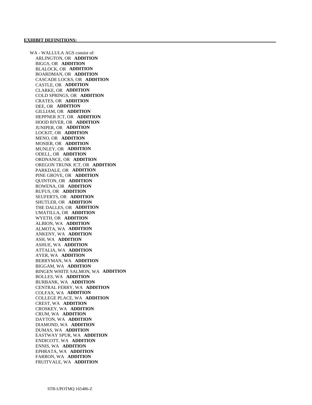WA - WALLULA AGS consist of: ARLINGTON, OR **ADDITION**  BIGGS, OR **ADDITION**  BLALOCK, OR **ADDITION**  BOARDMAN, OR **ADDITION**  CASCADE LOCKS, OR **ADDITION**  CASTLE, OR **ADDITION**  CLARKE, OR **ADDITION**  COLD SPRINGS, OR **ADDITION**  CRATES, OR **ADDITION**  DEE, OR **ADDITION**  GILLIAM, OR **ADDITION**  HEPPNER JCT, OR **ADDITION**  HOOD RIVER, OR **ADDITION**  JUNIPER, OR **ADDITION**  LOCKIT, OR **ADDITION**  MENO, OR **ADDITION**  MOSIER, OR **ADDITION**  MUNLEY, OR **ADDITION**  ODELL, OR **ADDITION**  ORDNANCE, OR **ADDITION**  OREGON TRUNK JCT, OR **ADDITION**  PARKDALE, OR **ADDITION**  PINE GROVE, OR **ADDITION**  QUINTON, OR **ADDITION**  ROWENA, OR **ADDITION**  RUFUS, OR **ADDITION**  SEUFERTS, OR **ADDITION**  SHUTLER, OR **ADDITION**  THE DALLES, OR **ADDITION**  UMATILLA, OR **ADDITION**  WYETH, OR **ADDITION**  ALBION, WA **ADDITION**  ALMOTA, WA **ADDITION**  ANKENY, WA **ADDITION**  ASH, WA **ADDITION**  ASHUE, WA **ADDITION**  ATTALIA, WA **ADDITION**  AYER, WA **ADDITION**  BERRYMAN, WA **ADDITION**  BIGGAM, WA **ADDITION**  BINGEN WHITE SALMON, WA **ADDITION**  BOLLES, WA **ADDITION**  BURBANK, WA **ADDITION**  CENTRAL FERRY, WA **ADDITION**  COLFAX, WA **ADDITION**  COLLEGE PLACE, WA **ADDITION**  CREST, WA **ADDITION**  CROSKEY, WA **ADDITION**  CRUM, WA **ADDITION**  DAYTON, WA **ADDITION**  DIAMOND, WA **ADDITION**  DUMAS, WA **ADDITION**  EASTWAY SPUR, WA **ADDITION**  ENDICOTT, WA **ADDITION**  ENNIS, WA **ADDITION**  EPHRATA, WA **ADDITION**  FARRON, WA **ADDITION**  FRUITVALE, WA **ADDITION**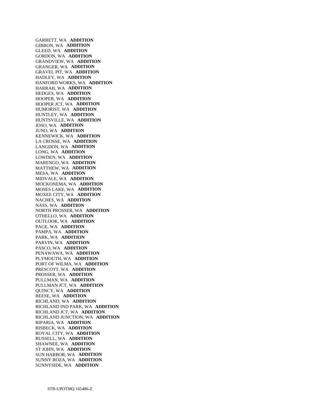GARRETT, WA **ADDITION**  GIBBON, WA **ADDITION**  GLEED, WA **ADDITION**  GORDON, WA **ADDITION**  GRANDVIEW, WA **ADDITION**  GRANGER, WA **ADDITION**  GRAVEL PIT, WA **ADDITION**  HADLEY, WA **ADDITION**  HANFORD WORKS, WA **ADDITION**  HARRAH, WA **ADDITION**  HEDGES, WA **ADDITION**  HOOPER, WA **ADDITION**  HOOPER JCT, WA **ADDITION**  HUMORIST, WA **ADDITION**  HUNTLEY, WA **ADDITION**  HUNTSVILLE, WA **ADDITION**  JOSO, WA **ADDITION**  JUNO, WA **ADDITION**  KENNEWICK, WA **ADDITION**  LA CROSSE, WA **ADDITION**  LANGDON, WA **ADDITION**  LONG, WA **ADDITION**  LOWDEN, WA **ADDITION**  MARENGO, WA **ADDITION**  MATTHEW, WA **ADDITION**  MESA, WA **ADDITION**  MIDVALE, WA **ADDITION**  MOCKONEMA, WA **ADDITION**  MOSES LAKE, WA **ADDITION**  MOXEE CITY, WA **ADDITION**  NACHES, WA **ADDITION**  NASS, WA **ADDITION**  NORTH PROSSER, WA **ADDITION**  OTHELLO, WA **ADDITION**  OUTLOOK, WA **ADDITION**  PAGE, WA **ADDITION**  PAMPA, WA **ADDITION**  PARK, WA **ADDITION**  PARVIN, WA **ADDITION**  PASCO, WA **ADDITION**  PENAWAWA, WA **ADDITION**  PLYMOUTH, WA **ADDITION**  PORT OF WILMA, WA **ADDITION**  PRESCOTT, WA **ADDITION**  PROSSER, WA **ADDITION**  PULLMAN, WA **ADDITION**  PULLMAN JCT, WA **ADDITION**  QUINCY, WA **ADDITION**  REESE, WA **ADDITION**  RICHLAND, WA **ADDITION**  RICHLAND IND PARK, WA **ADDITION**  RICHLAND JCT, WA **ADDITION**  RICHLAND JUNCTION, WA **ADDITION**  RIPARIA, WA **ADDITION**  RISBECK, WA **ADDITION**  ROYAL CITY, WA **ADDITION**  RUSSELL, WA **ADDITION**  SHAWNEE, WA **ADDITION**  ST JOHN, WA **ADDITION**  SUN HARBOR, WA **ADDITION**  SUNNY ROZA, WA **ADDITION**  SUNNYSIDE, WA **ADDITION**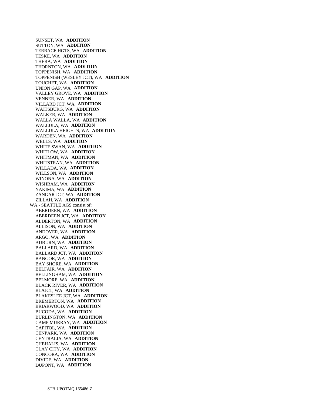SUNSET, WA **ADDITION**  SUTTON, WA **ADDITION**  TERRACE HGTS, WA **ADDITION**  TESKE, WA **ADDITION**  THERA, WA **ADDITION**  THORNTON, WA **ADDITION**  TOPPENISH, WA **ADDITION**  TOPPENISH (WESLEY JCT), WA **ADDITION**  TOUCHET, WA **ADDITION**  UNION GAP, WA **ADDITION**  VALLEY GROVE, WA **ADDITION**  VENNER, WA **ADDITION**  VILLARD JCT, WA **ADDITION**  WAITSBURG, WA **ADDITION**  WALKER, WA **ADDITION**  WALLA WALLA, WA **ADDITION**  WALLULA, WA **ADDITION**  WALLULA HEIGHTS, WA **ADDITION**  WARDEN, WA **ADDITION**  WELLS, WA **ADDITION**  WHITE SWAN, WA **ADDITION**  WHITLOW, WA **ADDITION**  WHITMAN, WA **ADDITION**  WHITSTRAN, WA **ADDITION**  WILLADA, WA **ADDITION**  WILLSON, WA **ADDITION**  WINONA, WA **ADDITION**  WISHRAM, WA **ADDITION**  YAKIMA, WA **ADDITION**  ZANGAR JCT, WA **ADDITION**  ZILLAH, WA **ADDITION**  WA - SEATTLE AGS consist of: ABERDEEN, WA **ADDITION**  ABERDEEN JCT, WA **ADDITION**  ALDERTON, WA **ADDITION**  ALLISON, WA **ADDITION**  ANDOVER, WA **ADDITION**  ARGO, WA **ADDITION**  AUBURN, WA **ADDITION**  BALLARD, WA **ADDITION**  BALLARD JCT, WA **ADDITION**  BANGOR, WA **ADDITION**  BAY SHORE, WA **ADDITION**  BELFAIR, WA **ADDITION**  BELLINGHAM, WA **ADDITION**  BELMORE, WA **ADDITION**  BLACK RIVER, WA **ADDITION**  BLAJCT, WA **ADDITION**  BLAKESLEE JCT, WA **ADDITION**  BREMERTON, WA **ADDITION**  BRIARWOOD, WA **ADDITION**  BUCODA, WA **ADDITION**  BURLINGTON, WA **ADDITION**  CAMP MURRAY, WA **ADDITION**  CAPITOL, WA **ADDITION**  CENPARK, WA **ADDITION**  CENTRALIA, WA **ADDITION**  CHEHALIS, WA **ADDITION**  CLAY CITY, WA **ADDITION**  CONCORA, WA **ADDITION**  DIVIDE, WA **ADDITION**  DUPONT, WA **ADDITION**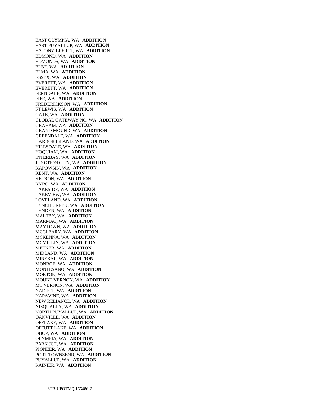EAST OLYMPIA, WA **ADDITION**  EAST PUYALLUP, WA **ADDITION**  EATONVILLE JCT, WA **ADDITION**  EDMOND, WA **ADDITION**  EDMONDS, WA **ADDITION**  ELBE, WA **ADDITION**  ELMA, WA **ADDITION**  ESSEX, WA **ADDITION**  EVERETT, WA **ADDITION**  EVERETT, WA **ADDITION**  FERNDALE, WA **ADDITION**  FIFE, WA **ADDITION**  FREDERICKSON, WA **ADDITION**  FT LEWIS, WA **ADDITION**  GATE, WA **ADDITION**  GLOBAL GATEWAY NO, WA **ADDITION**  GRAHAM, WA **ADDITION**  GRAND MOUND, WA **ADDITION**  GREENDALE, WA **ADDITION**  HARBOR ISLAND, WA **ADDITION**  HILLSDALE, WA **ADDITION**  HOQUIAM, WA **ADDITION**  INTERBAY, WA **ADDITION**  JUNCTION CITY, WA **ADDITION**  KAPOWSIN, WA **ADDITION**  KENT, WA **ADDITION**  KETRON, WA **ADDITION**  KYRO, WA **ADDITION**  LAKESIDE, WA **ADDITION**  LAKEVIEW, WA **ADDITION**  LOVELAND, WA **ADDITION**  LYNCH CREEK, WA **ADDITION**  LYNDEN, WA **ADDITION**  MALTBY, WA **ADDITION**  MARMAC, WA **ADDITION**  MAYTOWN, WA **ADDITION**  MCCLEARY, WA **ADDITION**  MCKENNA, WA **ADDITION**  MCMILLIN, WA **ADDITION**  MEEKER, WA **ADDITION**  MIDLAND, WA **ADDITION**  MINERAL, WA **ADDITION**  MONROE, WA **ADDITION**  MONTESANO, WA **ADDITION**  MORTON, WA **ADDITION**  MOUNT VERNON, WA **ADDITION**  MT VERNON, WA **ADDITION**  NAD JCT, WA **ADDITION**  NAPAVINE, WA **ADDITION**  NEW RELIANCE, WA **ADDITION**  NISQUALLY, WA **ADDITION**  NORTH PUYALLUP, WA **ADDITION**  OAKVILLE, WA **ADDITION**  OFFLAKE, WA **ADDITION**  OFFUTT LAKE, WA **ADDITION**  OHOP, WA **ADDITION**  OLYMPIA, WA **ADDITION**  PARK JCT, WA **ADDITION**  PIONEER, WA **ADDITION**  PORT TOWNSEND, WA **ADDITION**  PUYALLUP, WA **ADDITION**  RAINIER, WA **ADDITION**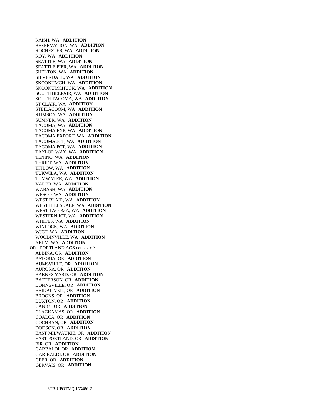RAISH, WA **ADDITION**  RESERVATION, WA **ADDITION**  ROCHESTER, WA **ADDITION**  ROY, WA **ADDITION**  SEATTLE, WA **ADDITION**  SEATTLE PIER, WA **ADDITION**  SHELTON, WA **ADDITION**  SILVERDALE, WA **ADDITION**  SKOOKUMCH, WA **ADDITION**  SKOOKUMCHUCK, WA **ADDITION**  SOUTH BELFAIR, WA **ADDITION**  SOUTH TACOMA, WA **ADDITION**  ST CLAIR, WA **ADDITION**  STEILACOOM, WA **ADDITION**  STIMSON, WA **ADDITION**  SUMNER, WA **ADDITION**  TACOMA, WA **ADDITION**  TACOMA EXP, WA **ADDITION**  TACOMA EXPORT, WA **ADDITION**  TACOMA JCT, WA **ADDITION**  TACOMA PCT, WA **ADDITION**  TAYLOR WAY, WA **ADDITION**  TENINO, WA **ADDITION**  THRIFT, WA **ADDITION**  TITLOW, WA **ADDITION**  TUKWILA, WA **ADDITION**  TUMWATER, WA **ADDITION**  VADER, WA **ADDITION**  WABASH, WA **ADDITION**  WESCO, WA **ADDITION**  WEST BLAIR, WA **ADDITION**  WEST HILLSDALE, WA **ADDITION**  WEST TACOMA, WA **ADDITION**  WESTERN JCT, WA **ADDITION**  WHITES, WA **ADDITION**  WINLOCK, WA **ADDITION**  WJCT, WA **ADDITION**  WOODINVILLE, WA **ADDITION**  YELM, WA **ADDITION**  OR - PORTLAND AGS consist of: ALBINA, OR **ADDITION**  ASTORIA, OR **ADDITION**  AUMSVILLE, OR **ADDITION**  AURORA, OR **ADDITION**  BARNES YARD, OR **ADDITION**  BATTERSON, OR **ADDITION**  BONNEVILLE, OR **ADDITION**  BRIDAL VEIL, OR **ADDITION**  BROOKS, OR **ADDITION**  BUXTON, OR **ADDITION**  CANBY, OR **ADDITION**  CLACKAMAS, OR **ADDITION**  COALCA, OR **ADDITION**  COCHRAN, OR **ADDITION**  DODSON, OR **ADDITION**  EAST MILWAUKIE, OR **ADDITION**  EAST PORTLAND, OR **ADDITION**  FIR, OR **ADDITION**  GARBALDI, OR **ADDITION**  GARIBALDI, OR **ADDITION**  GEER, OR **ADDITION**  GERVAIS, OR **ADDITION**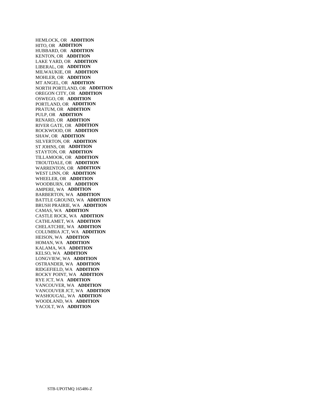HEMLOCK, OR **ADDITION**  HITO, OR **ADDITION**  HUBBARD, OR **ADDITION**  KENTON, OR **ADDITION**  LAKE YARD, OR **ADDITION**  LIBERAL, OR **ADDITION**  MILWAUKIE, OR **ADDITION**  MOHLER, OR **ADDITION**  MT ANGEL, OR **ADDITION**  NORTH PORTLAND, OR **ADDITION**  OREGON CITY, OR **ADDITION**  OSWEGO, OR **ADDITION**  PORTLAND, OR **ADDITION**  PRATUM, OR **ADDITION**  PULP, OR **ADDITION**  RENARD, OR **ADDITION**  RIVER GATE, OR **ADDITION**  ROCKWOOD, OR **ADDITION**  SHAW, OR **ADDITION**  SILVERTON, OR **ADDITION**  ST JOHNS, OR **ADDITION**  STAYTON, OR **ADDITION**  TILLAMOOK, OR **ADDITION**  TROUTDALE, OR **ADDITION**  WARRENTON, OR **ADDITION**  WEST LINN, OR **ADDITION**  WHEELER, OR **ADDITION**  WOODBURN, OR **ADDITION**  AMPERE, WA **ADDITION**  BARBERTON, WA **ADDITION**  BATTLE GROUND, WA **ADDITION**  BRUSH PRAIRIE, WA **ADDITION**  CAMAS, WA **ADDITION**  CASTLE ROCK, WA **ADDITION**  CATHLAMET, WA **ADDITION**  CHELATCHIE, WA **ADDITION**  COLUMBIA JCT, WA **ADDITION**  HEISON, WA **ADDITION**  HOMAN, WA **ADDITION**  KALAMA, WA **ADDITION**  KELSO, WA **ADDITION**  LONGVIEW, WA **ADDITION**  OSTRANDER, WA **ADDITION**  RIDGEFIELD, WA **ADDITION**  ROCKY POINT, WA **ADDITION**  RYE JCT, WA **ADDITION**  VANCOUVER, WA **ADDITION**  VANCOUVER JCT, WA **ADDITION**  WASHOUGAL, WA **ADDITION**  WOODLAND, WA **ADDITION**  YACOLT, WA **ADDITION**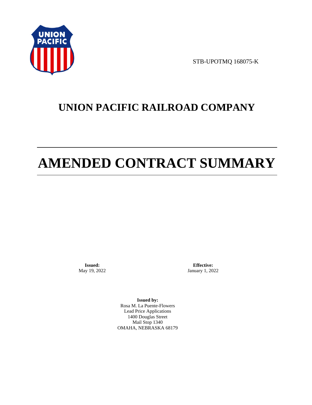

STB-UPOTMQ 168075-K

# **UNION PACIFIC RAILROAD COMPANY**

# **AMENDED CONTRACT SUMMARY**

**Issued:**  May 19, 2022

**Effective:** January 1, 2022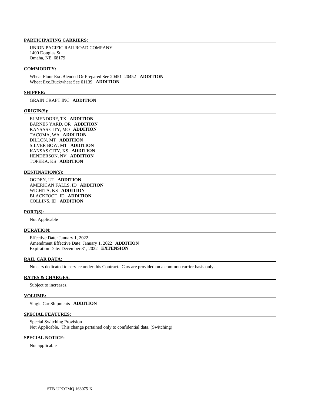UNION PACIFIC RAILROAD COMPANY 1400 Douglas St. Omaha, NE 68179

#### **COMMODITY:**

 Wheat Flour Exc.Blended Or Prepared See 20451- 20452 **ADDITION**  Wheat Exc.Buckwheat See 01139 **ADDITION** 

#### **SHIPPER:**

GRAIN CRAFT INC **ADDITION** 

#### **ORIGIN(S):**

 ELMENDORF, TX **ADDITION**  BARNES YARD, OR **ADDITION**  KANSAS CITY, MO **ADDITION**  TACOMA, WA **ADDITION**  DILLON, MT **ADDITION**  SILVER BOW, MT **ADDITION**  KANSAS CITY, KS **ADDITION**  HENDERSON, NV **ADDITION**  TOPEKA, KS **ADDITION** 

#### **DESTINATION(S):**

 OGDEN, UT **ADDITION**  AMERICAN FALLS, ID **ADDITION**  WICHITA, KS **ADDITION**  BLACKFOOT, ID **ADDITION**  COLLINS, ID **ADDITION** 

#### **PORT(S):**

Not Applicable

#### **DURATION:**

 Effective Date: January 1, 2022 Amendment Effective Date: January 1, 2022 **ADDITION**  Expiration Date: December 31, 2022 **EXTENSION** 

#### **RAIL CAR DATA:**

No cars dedicated to service under this Contract. Cars are provided on a common carrier basis only.

#### **RATES & CHARGES:**

Subject to increases.

#### **VOLUME:**

Single Car Shipments **ADDITION** 

#### **SPECIAL FEATURES:**

 Special Switching Provision Not Applicable. This change pertained only to confidential data. (Switching)

#### **SPECIAL NOTICE:**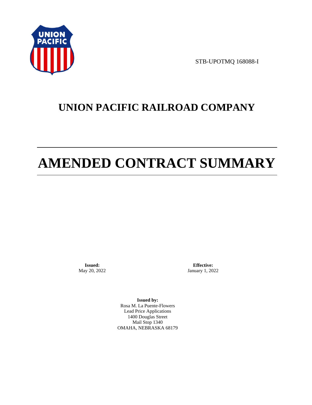

STB-UPOTMQ 168088-I

# **UNION PACIFIC RAILROAD COMPANY**

# **AMENDED CONTRACT SUMMARY**

**Issued:**  May 20, 2022

**Effective:** January 1, 2022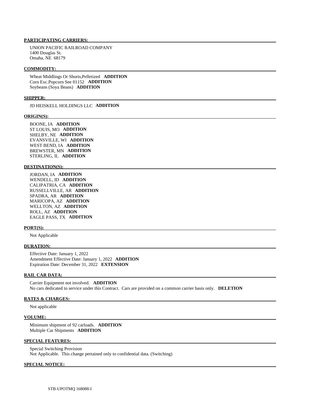UNION PACIFIC RAILROAD COMPANY 1400 Douglas St. Omaha, NE 68179

#### **COMMODITY:**

 Wheat Middlings Or Shorts,Pelletized **ADDITION**  Corn Exc.Popcorn See 01152 **ADDITION**  Soybeans (Soya Beans) **ADDITION** 

#### **SHIPPER:**

JD HEISKELL HOLDINGS LLC **ADDITION** 

#### **ORIGIN(S):**

 BOONE, IA **ADDITION**  ST LOUIS, MO **ADDITION**  SHELBY, NE **ADDITION**  EVANSVILLE, WI **ADDITION**  WEST BEND, IA **ADDITION**  BREWSTER, MN **ADDITION**  STERLING, IL **ADDITION** 

### **DESTINATION(S):**

 JORDAN, IA **ADDITION**  WENDELL, ID **ADDITION**  CALIPATRIA, CA **ADDITION**  RUSSELLVILLE, AR **ADDITION**  SPADRA, AR **ADDITION**  MARICOPA, AZ **ADDITION**  WELLTON, AZ **ADDITION**  ROLL, AZ **ADDITION**  EAGLE PASS, TX **ADDITION** 

#### **PORT(S):**

Not Applicable

## **DURATION:**

 Effective Date: January 1, 2022 Amendment Effective Date: January 1, 2022 **ADDITION**  Expiration Date: December 31, 2022 **EXTENSION** 

### **RAIL CAR DATA:**

 Carrier Equipment not involved. **ADDITION**  No cars dedicated to service under this Contract. Cars are provided on a common carrier basis only. **DELETION** 

#### **RATES & CHARGES:**

Not applicable

#### **VOLUME:**

 Minimum shipment of 92 carloads. **ADDITION**  Multiple Car Shipments **ADDITION** 

### **SPECIAL FEATURES:**

 Special Switching Provision Not Applicable. This change pertained only to confidential data. (Switching)

#### **SPECIAL NOTICE:**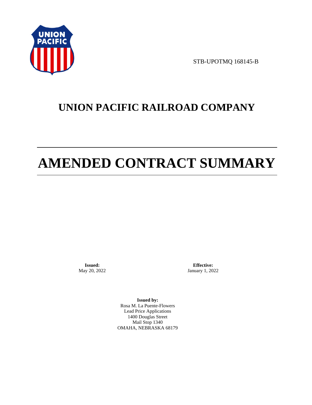

STB-UPOTMQ 168145-B

# **UNION PACIFIC RAILROAD COMPANY**

# **AMENDED CONTRACT SUMMARY**

**Issued:**  May 20, 2022

**Effective:** January 1, 2022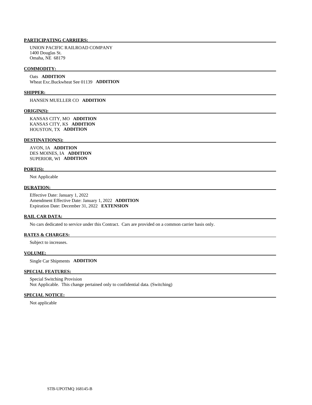UNION PACIFIC RAILROAD COMPANY 1400 Douglas St. Omaha, NE 68179

#### **COMMODITY:**

 Oats **ADDITION**  Wheat Exc.Buckwheat See 01139 **ADDITION** 

#### **SHIPPER:**

HANSEN MUELLER CO **ADDITION** 

#### **ORIGIN(S):**

 KANSAS CITY, MO **ADDITION**  KANSAS CITY, KS **ADDITION**  HOUSTON, TX **ADDITION** 

#### **DESTINATION(S):**

 AVON, IA **ADDITION**  DES MOINES, IA **ADDITION**  SUPERIOR, WI **ADDITION** 

#### **PORT(S):**

Not Applicable

# **DURATION:**

 Effective Date: January 1, 2022 Amendment Effective Date: January 1, 2022 **ADDITION**  Expiration Date: December 31, 2022 **EXTENSION** 

#### **RAIL CAR DATA:**

No cars dedicated to service under this Contract. Cars are provided on a common carrier basis only.

### **RATES & CHARGES:**

Subject to increases.

#### **VOLUME:**

Single Car Shipments **ADDITION** 

## **SPECIAL FEATURES:**

 Special Switching Provision Not Applicable. This change pertained only to confidential data. (Switching)

#### **SPECIAL NOTICE:**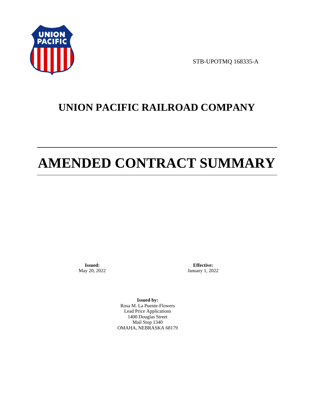

STB-UPOTMQ 168335-A

# **UNION PACIFIC RAILROAD COMPANY**

# **AMENDED CONTRACT SUMMARY**

**Issued:**  May 20, 2022

**Effective:** January 1, 2022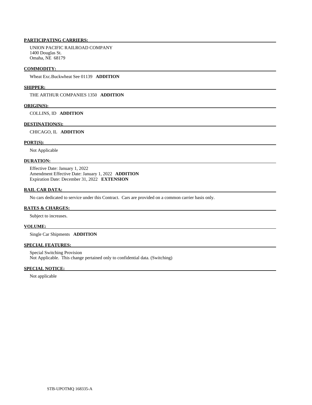UNION PACIFIC RAILROAD COMPANY 1400 Douglas St. Omaha, NE 68179

#### **COMMODITY:**

Wheat Exc.Buckwheat See 01139 **ADDITION** 

#### **SHIPPER:**

THE ARTHUR COMPANIES 1350 **ADDITION** 

#### **ORIGIN(S):**

COLLINS, ID **ADDITION** 

#### **DESTINATION(S):**

CHICAGO, IL **ADDITION** 

## **PORT(S):**

Not Applicable

# **DURATION:**

 Effective Date: January 1, 2022 Amendment Effective Date: January 1, 2022 **ADDITION**  Expiration Date: December 31, 2022 **EXTENSION** 

#### **RAIL CAR DATA:**

No cars dedicated to service under this Contract. Cars are provided on a common carrier basis only.

#### **RATES & CHARGES:**

Subject to increases.

#### **VOLUME:**

Single Car Shipments **ADDITION** 

# **SPECIAL FEATURES:**

 Special Switching Provision Not Applicable. This change pertained only to confidential data. (Switching)

#### **SPECIAL NOTICE:**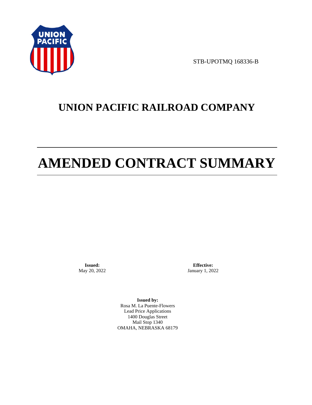

STB-UPOTMQ 168336-B

# **UNION PACIFIC RAILROAD COMPANY**

# **AMENDED CONTRACT SUMMARY**

**Issued:**  May 20, 2022

**Effective:** January 1, 2022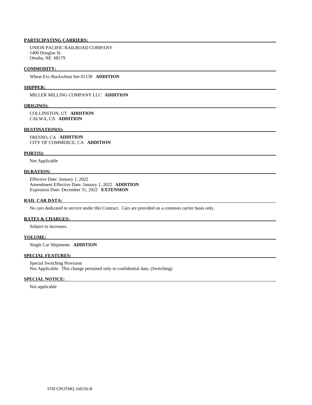UNION PACIFIC RAILROAD COMPANY 1400 Douglas St. Omaha, NE 68179

#### **COMMODITY:**

Wheat Exc.Buckwheat See 01139 **ADDITION** 

#### **SHIPPER:**

MILLER MILLING COMPANY LLC **ADDITION** 

#### **ORIGIN(S):**

 COLLINSTON, UT **ADDITION**  CALWA, CA **ADDITION** 

#### **DESTINATION(S):**

 FRESNO, CA **ADDITION**  CITY OF COMMERCE, CA **ADDITION** 

#### **PORT(S):**

Not Applicable

## **DURATION:**

 Effective Date: January 1, 2022 Amendment Effective Date: January 1, 2022 **ADDITION**  Expiration Date: December 31, 2022 **EXTENSION** 

#### **RAIL CAR DATA:**

No cars dedicated to service under this Contract. Cars are provided on a common carrier basis only.

## **RATES & CHARGES:**

Subject to increases.

# **VOLUME:**

Single Car Shipments **ADDITION** 

# **SPECIAL FEATURES:**

 Special Switching Provision Not Applicable. This change pertained only to confidential data. (Switching)

#### **SPECIAL NOTICE:**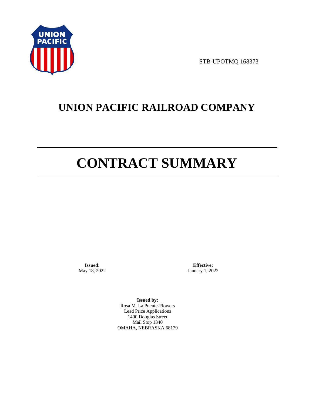

STB-UPOTMQ 168373

# **UNION PACIFIC RAILROAD COMPANY**

# **CONTRACT SUMMARY**

**Issued:**  May 18, 2022

**Effective:** January 1, 2022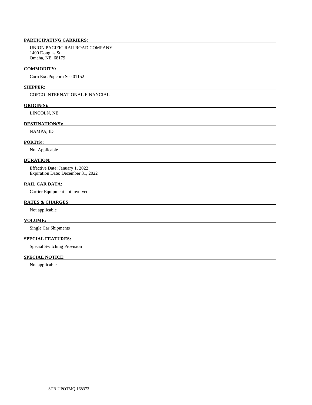UNION PACIFIC RAILROAD COMPANY 1400 Douglas St. Omaha, NE 68179

#### **COMMODITY:**

Corn Exc.Popcorn See 01152

# **SHIPPER:**

COFCO INTERNATIONAL FINANCIAL

#### **ORIGIN(S):**

LINCOLN, NE

# **DESTINATION(S):**

NAMPA, ID

## **PORT(S):**

Not Applicable

# **DURATION:**

 Effective Date: January 1, 2022 Expiration Date: December 31, 2022

# **RAIL CAR DATA:**

Carrier Equipment not involved.

# **RATES & CHARGES:**

Not applicable

# **VOLUME:**

Single Car Shipments

# **SPECIAL FEATURES:**

Special Switching Provision

# **SPECIAL NOTICE:**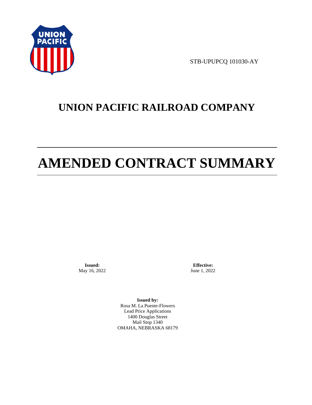

STB-UPUPCQ 101030-AY

# **UNION PACIFIC RAILROAD COMPANY**

# **AMENDED CONTRACT SUMMARY**

**Issued:**  May 16, 2022

**Effective:** June 1, 2022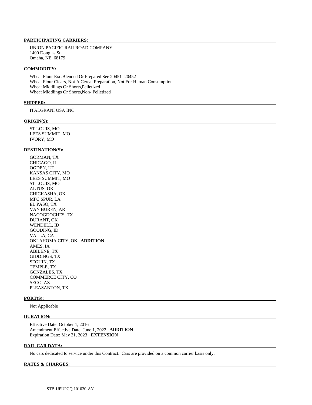UNION PACIFIC RAILROAD COMPANY 1400 Douglas St. Omaha, NE 68179

#### **COMMODITY:**

 Wheat Flour Exc.Blended Or Prepared See 20451- 20452 Wheat Flour Clears, Not A Cereal Preparation, Not For Human Consumption Wheat Middlings Or Shorts,Pelletized Wheat Middlings Or Shorts,Non- Pelletized

#### **SHIPPER:**

ITALGRANI USA INC

#### **ORIGIN(S):**

 ST LOUIS, MO LEES SUMMIT, MO IVORY, MO

#### **DESTINATION(S):**

 GORMAN, TX CHICAGO, IL OGDEN, UT KANSAS CITY, MO LEES SUMMIT, MO ST LOUIS, MO ALTUS, OK CHICKASHA, OK MFC SPUR, LA EL PASO, TX VAN BUREN, AR NACOGDOCHES, TX DURANT, OK WENDELL, ID GOODING, ID VALLA, CA OKLAHOMA CITY, OK **ADDITION**  AMES, IA ABILENE, TX GIDDINGS, TX SEGUIN, TX TEMPLE, TX GONZALES, TX COMMERCE CITY, CO SECO, AZ PLEASANTON, TX

#### **PORT(S):**

Not Applicable

#### **DURATION:**

 Effective Date: October 1, 2016 Amendment Effective Date: June 1, 2022 **ADDITION**  Expiration Date: May 31, 2023 **EXTENSION** 

#### **RAIL CAR DATA:**

No cars dedicated to service under this Contract. Cars are provided on a common carrier basis only.

#### **RATES & CHARGES:**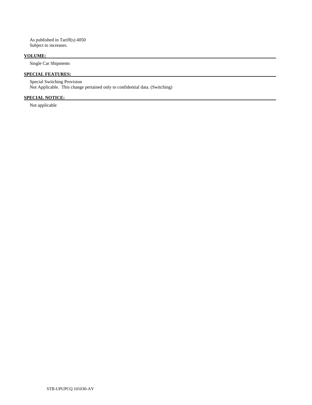As published in Tariff(s) 4050 Subject to increases.

# **VOLUME:**

Single Car Shipments

# **SPECIAL FEATURES:**

 Special Switching Provision Not Applicable. This change pertained only to confidential data. (Switching)

# **SPECIAL NOTICE:**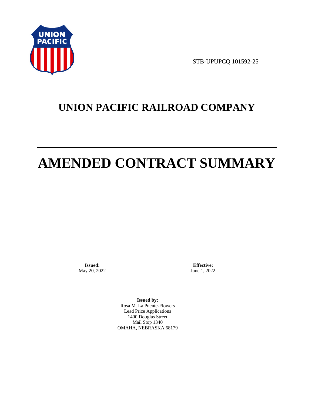

STB-UPUPCQ 101592-25

# **UNION PACIFIC RAILROAD COMPANY**

# **AMENDED CONTRACT SUMMARY**

**Issued:**  May 20, 2022

**Effective:** June 1, 2022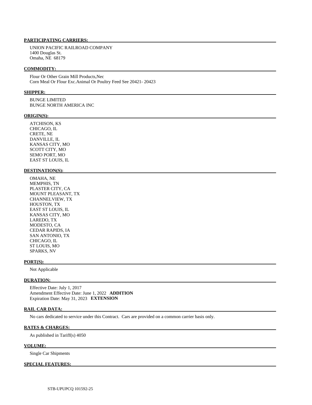UNION PACIFIC RAILROAD COMPANY 1400 Douglas St. Omaha, NE 68179

#### **COMMODITY:**

 Flour Or Other Grain Mill Products,Nec Corn Meal Or Flour Exc.Animal Or Poultry Feed See 20421- 20423

#### **SHIPPER:**

 BUNGE LIMITED BUNGE NORTH AMERICA INC

#### **ORIGIN(S):**

 ATCHISON, KS CHICAGO, IL CRETE, NE DANVILLE, IL KANSAS CITY, MO SCOTT CITY, MO SEMO PORT, MO EAST ST LOUIS, IL

## **DESTINATION(S):**

 OMAHA, NE MEMPHIS, TN PLASTER CITY, CA MOUNT PLEASANT, TX CHANNELVIEW, TX HOUSTON, TX EAST ST LOUIS, IL KANSAS CITY, MO LAREDO, TX MODESTO, CA CEDAR RAPIDS, IA SAN ANTONIO, TX CHICAGO, IL ST LOUIS, MO SPARKS, NV

#### **PORT(S):**

Not Applicable

# **DURATION:**

 Effective Date: July 1, 2017 Amendment Effective Date: June 1, 2022 **ADDITION**  Expiration Date: May 31, 2023 **EXTENSION** 

## **RAIL CAR DATA:**

No cars dedicated to service under this Contract. Cars are provided on a common carrier basis only.

#### **RATES & CHARGES:**

As published in Tariff(s) 4050

### **VOLUME:**

Single Car Shipments

#### **SPECIAL FEATURES:**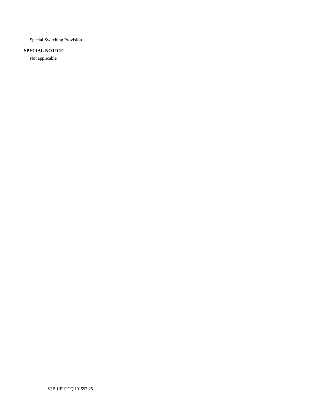Special Switching Provision

# **SPECIAL NOTICE:**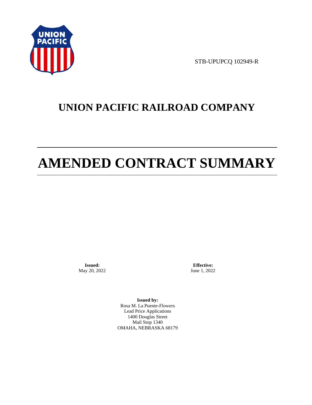

STB-UPUPCQ 102949-R

# **UNION PACIFIC RAILROAD COMPANY**

# **AMENDED CONTRACT SUMMARY**

**Issued:**  May 20, 2022

**Effective:** June 1, 2022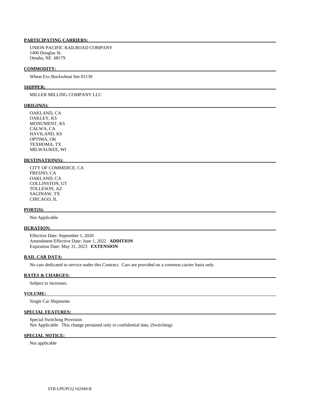UNION PACIFIC RAILROAD COMPANY 1400 Douglas St. Omaha, NE 68179

#### **COMMODITY:**

Wheat Exc.Buckwheat See 01139

#### **SHIPPER:**

# MILLER MILLING COMPANY LLC

#### **ORIGIN(S):**

 OAKLAND, CA OAKLEY, KS MONUMENT, KS CALWA, CA HAVILAND, KS OPTIMA, OK TEXHOMA, TX MILWAUKEE, WI

#### **DESTINATION(S):**

 CITY OF COMMERCE, CA FRESNO, CA OAKLAND, CA COLLINSTON, UT TOLLESON, AZ SAGINAW, TX CHICAGO, IL

#### **PORT(S):**

Not Applicable

#### **DURATION:**

 Effective Date: September 1, 2020 Amendment Effective Date: June 1, 2022 **ADDITION**  Expiration Date: May 31, 2023 **EXTENSION** 

#### **RAIL CAR DATA:**

No cars dedicated to service under this Contract. Cars are provided on a common carrier basis only.

# **RATES & CHARGES:**

Subject to increases.

# **VOLUME:**

Single Car Shipments

# **SPECIAL FEATURES:**

 Special Switching Provision Not Applicable. This change pertained only to confidential data. (Switching)

## **SPECIAL NOTICE:**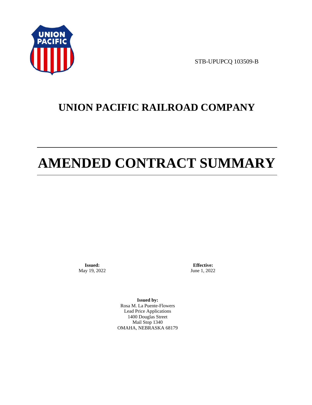

STB-UPUPCQ 103509-B

# **UNION PACIFIC RAILROAD COMPANY**

# **AMENDED CONTRACT SUMMARY**

**Issued:**  May 19, 2022

**Effective:** June 1, 2022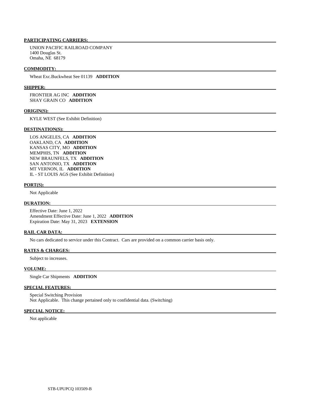UNION PACIFIC RAILROAD COMPANY 1400 Douglas St. Omaha, NE 68179

#### **COMMODITY:**

Wheat Exc.Buckwheat See 01139 **ADDITION** 

#### **SHIPPER:**

 FRONTIER AG INC **ADDITION**  SHAY GRAIN CO **ADDITION** 

#### **ORIGIN(S):**

KYLE WEST (See Exhibit Definition)

#### **DESTINATION(S):**

 LOS ANGELES, CA **ADDITION**  OAKLAND, CA **ADDITION**  KANSAS CITY, MO **ADDITION**  MEMPHIS, TN **ADDITION**  NEW BRAUNFELS, TX **ADDITION**  SAN ANTONIO, TX **ADDITION**  MT VERNON, IL **ADDITION**  IL - ST LOUIS AGS (See Exhibit Definition)

#### **PORT(S):**

Not Applicable

### **DURATION:**

 Effective Date: June 1, 2022 Amendment Effective Date: June 1, 2022 **ADDITION**  Expiration Date: May 31, 2023 **EXTENSION** 

## **RAIL CAR DATA:**

No cars dedicated to service under this Contract. Cars are provided on a common carrier basis only.

## **RATES & CHARGES:**

Subject to increases.

#### **VOLUME:**

Single Car Shipments **ADDITION** 

# **SPECIAL FEATURES:**

 Special Switching Provision Not Applicable. This change pertained only to confidential data. (Switching)

## **SPECIAL NOTICE:**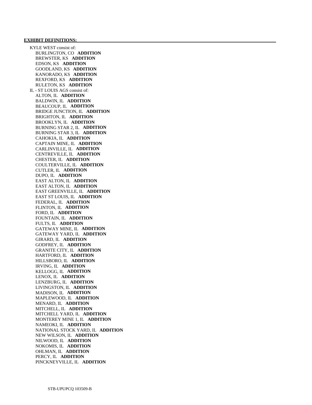#### **EXHIBIT DEFINITIONS:**

 KYLE WEST consist of: BURLINGTON, CO **ADDITION**  BREWSTER, KS **ADDITION**  EDSON, KS **ADDITION**  GOODLAND, KS **ADDITION**  KANORADO, KS **ADDITION**  REXFORD, KS **ADDITION**  RULETON, KS **ADDITION**  IL - ST LOUIS AGS consist of: ALTON, IL **ADDITION**  BALDWIN, IL **ADDITION**  BEAUCOUP, IL **ADDITION**  BRIDGE JUNCTION, IL **ADDITION**  BRIGHTON, IL **ADDITION**  BROOKLYN, IL **ADDITION**  BURNING STAR 2, IL **ADDITION**  BURNING STAR 3, IL **ADDITION**  CAHOKIA, IL **ADDITION**  CAPTAIN MINE, IL **ADDITION**  CARLINVILLE, IL **ADDITION**  CENTREVILLE, IL **ADDITION**  CHESTER, IL **ADDITION**  COULTERVILLE, IL **ADDITION**  CUTLER, IL **ADDITION**  DUPO, IL **ADDITION**  EAST ALTON, IL **ADDITION**  EAST ALTON, IL **ADDITION**  EAST GREENVILLE, IL **ADDITION**  EAST ST LOUIS, IL **ADDITION**  FEDERAL, IL **ADDITION**  FLINTON, IL **ADDITION**  FORD, IL **ADDITION**  FOUNTAIN, IL **ADDITION**  FULTS, IL **ADDITION**  GATEWAY MINE, IL **ADDITION**  GATEWAY YARD, IL **ADDITION**  GIRARD, IL **ADDITION**  GODFREY, IL **ADDITION**  GRANITE CITY, IL **ADDITION**  HARTFORD, IL **ADDITION**  HILLSBORO, IL **ADDITION**  IRVING, IL **ADDITION**  KELLOGG, IL **ADDITION**  LENOX, IL **ADDITION**  LENZBURG, IL **ADDITION**  LIVINGSTON, IL **ADDITION**  MADISON, IL **ADDITION**  MAPLEWOOD, IL **ADDITION**  MENARD, IL **ADDITION**  MITCHELL, IL **ADDITION**  MITCHELL YARD, IL **ADDITION**  MONTEREY MINE 1, IL **ADDITION**  NAMEOKI, IL **ADDITION**  NATIONAL STOCK YARD, IL **ADDITION**  NEW WILSON, IL **ADDITION**  NILWOOD, IL **ADDITION**  NOKOMIS, IL **ADDITION**  OHLMAN, IL **ADDITION**  PERCY, IL **ADDITION**  PINCKNEYVILLE, IL **ADDITION**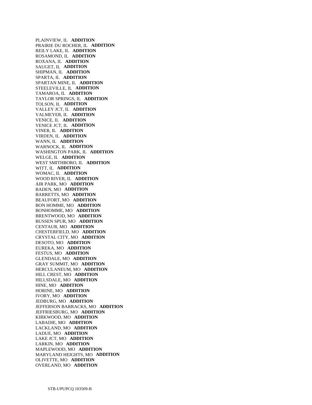PLAINVIEW, IL **ADDITION**  PRAIRIE DU ROCHER, IL **ADDITION**  REILY LAKE, IL **ADDITION**  ROSAMOND, IL **ADDITION**  ROXANA, IL **ADDITION**  SAUGET, IL **ADDITION**  SHIPMAN, IL **ADDITION**  SPARTA, IL **ADDITION**  SPARTAN MINE, IL **ADDITION**  STEELEVILLE, IL **ADDITION**  TAMAROA, IL **ADDITION**  TAYLOR SPRINGS, IL **ADDITION**  TOLSON, IL **ADDITION**  VALLEY JCT, IL **ADDITION**  VALMEYER, IL **ADDITION**  VENICE, IL **ADDITION**  VENICE JCT, IL **ADDITION**  VINER, IL **ADDITION**  VIRDEN, IL **ADDITION**  WANN, IL **ADDITION**  WARNOCK, IL **ADDITION**  WASHINGTON PARK, IL **ADDITION**  WELGE, IL **ADDITION**  WEST SMITHBORO, IL **ADDITION**  WITT, IL **ADDITION**  WOMAC, IL **ADDITION**  WOOD RIVER, IL **ADDITION**  AIR PARK, MO **ADDITION**  BADEN, MO **ADDITION**  BARRETTS, MO **ADDITION**  BEAUFORT, MO **ADDITION**  BON HOMME, MO **ADDITION**  BONHOMME, MO **ADDITION**  BRENTWOOD, MO **ADDITION**  BUSSEN SPUR, MO **ADDITION**  CENTAUR, MO **ADDITION**  CHESTERFIELD, MO **ADDITION**  CRYSTAL CITY, MO **ADDITION**  DESOTO, MO **ADDITION**  EUREKA, MO **ADDITION**  FESTUS, MO **ADDITION**  GLENDALE, MO **ADDITION**  GRAY SUMMIT, MO **ADDITION**  HERCULANEUM, MO **ADDITION**  HILL CREST, MO **ADDITION**  HILLSDALE, MO **ADDITION**  HINE, MO **ADDITION**  HORINE, MO **ADDITION**  IVORY, MO **ADDITION**  JEDBURG, MO **ADDITION**  JEFFERSON BARRACKS, MO **ADDITION**  JEFFRIESBURG, MO **ADDITION**  KIRKWOOD, MO **ADDITION**  LABADIE, MO **ADDITION**  LACKLAND, MO **ADDITION**  LADUE, MO **ADDITION**  LAKE JCT, MO **ADDITION**  LARKIN, MO **ADDITION**  MAPLEWOOD, MO **ADDITION**  MARYLAND HEIGHTS, MO **ADDITION**  OLIVETTE, MO **ADDITION**  OVERLAND, MO **ADDITION**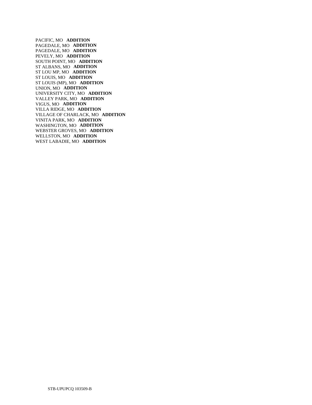PACIFIC, MO **ADDITION**  PAGEDALE, MO **ADDITION**  PAGEDALE, MO **ADDITION**  PEVELY, MO **ADDITION**  SOUTH POINT, MO **ADDITION**  ST ALBANS, MO **ADDITION**  ST LOU MP, MO **ADDITION**  ST LOUIS, MO **ADDITION**  ST LOUIS (MP), MO **ADDITION**  UNION, MO **ADDITION**  UNIVERSITY CITY, MO **ADDITION**  VALLEY PARK, MO **ADDITION**  VIGUS, MO **ADDITION**  VILLA RIDGE, MO **ADDITION**  VILLAGE OF CHARLACK, MO **ADDITION**  VINITA PARK, MO **ADDITION**  WASHINGTON, MO **ADDITION**  WEBSTER GROVES, MO **ADDITION**  WELLSTON, MO **ADDITION**  WEST LABADIE, MO **ADDITION**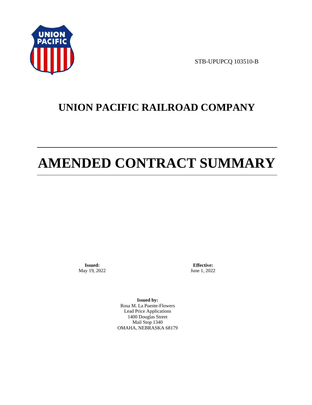

STB-UPUPCQ 103510-B

# **UNION PACIFIC RAILROAD COMPANY**

# **AMENDED CONTRACT SUMMARY**

**Issued:**  May 19, 2022

**Effective:** June 1, 2022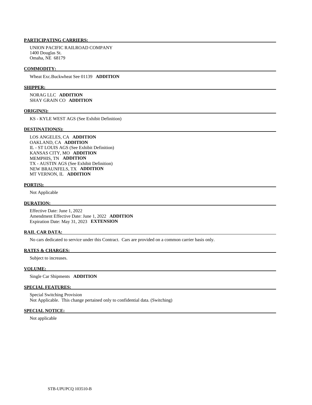UNION PACIFIC RAILROAD COMPANY 1400 Douglas St. Omaha, NE 68179

#### **COMMODITY:**

Wheat Exc.Buckwheat See 01139 **ADDITION** 

#### **SHIPPER:**

 NORAG LLC **ADDITION**  SHAY GRAIN CO **ADDITION** 

#### **ORIGIN(S):**

KS - KYLE WEST AGS (See Exhibit Definition)

#### **DESTINATION(S):**

 LOS ANGELES, CA **ADDITION**  OAKLAND, CA **ADDITION**  IL - ST LOUIS AGS (See Exhibit Definition) KANSAS CITY, MO **ADDITION**  MEMPHIS, TN **ADDITION**  TX - AUSTIN AGS (See Exhibit Definition) NEW BRAUNFELS, TX **ADDITION**  MT VERNON, IL **ADDITION** 

#### **PORT(S):**

Not Applicable

#### **DURATION:**

 Effective Date: June 1, 2022 Amendment Effective Date: June 1, 2022 **ADDITION**  Expiration Date: May 31, 2023 **EXTENSION** 

## **RAIL CAR DATA:**

No cars dedicated to service under this Contract. Cars are provided on a common carrier basis only.

#### **RATES & CHARGES:**

Subject to increases.

## **VOLUME:**

Single Car Shipments **ADDITION** 

### **SPECIAL FEATURES:**

 Special Switching Provision Not Applicable. This change pertained only to confidential data. (Switching)

#### **SPECIAL NOTICE:**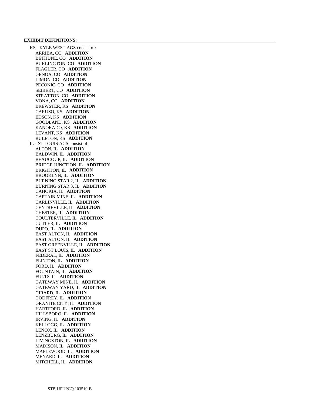#### **EXHIBIT DEFINITIONS:**

 KS - KYLE WEST AGS consist of: ARRIBA, CO **ADDITION**  BETHUNE, CO **ADDITION**  BURLINGTON, CO **ADDITION**  FLAGLER, CO **ADDITION**  GENOA, CO **ADDITION**  LIMON, CO **ADDITION**  PECONIC, CO **ADDITION**  SEIBERT, CO **ADDITION**  STRATTON, CO **ADDITION**  VONA, CO **ADDITION**  BREWSTER, KS **ADDITION**  CARUSO, KS **ADDITION**  EDSON, KS **ADDITION**  GOODLAND, KS **ADDITION**  KANORADO, KS **ADDITION**  LEVANT, KS **ADDITION**  RULETON, KS **ADDITION**  IL - ST LOUIS AGS consist of: ALTON, IL **ADDITION**  BALDWIN, IL **ADDITION**  BEAUCOUP, IL **ADDITION**  BRIDGE JUNCTION, IL **ADDITION**  BRIGHTON, IL **ADDITION**  BROOKLYN, IL **ADDITION**  BURNING STAR 2, IL **ADDITION**  BURNING STAR 3, IL **ADDITION**  CAHOKIA, IL **ADDITION**  CAPTAIN MINE, IL **ADDITION**  CARLINVILLE, IL **ADDITION**  CENTREVILLE, IL **ADDITION**  CHESTER, IL **ADDITION**  COULTERVILLE, IL **ADDITION**  CUTLER, IL **ADDITION**  DUPO, IL **ADDITION**  EAST ALTON, IL **ADDITION**  EAST ALTON, IL **ADDITION**  EAST GREENVILLE, IL **ADDITION**  EAST ST LOUIS, IL **ADDITION**  FEDERAL, IL **ADDITION**  FLINTON, IL **ADDITION**  FORD, IL **ADDITION**  FOUNTAIN, IL **ADDITION**  FULTS, IL **ADDITION**  GATEWAY MINE, IL **ADDITION**  GATEWAY YARD, IL **ADDITION**  GIRARD, IL **ADDITION**  GODFREY, IL **ADDITION**  GRANITE CITY, IL **ADDITION**  HARTFORD, IL **ADDITION**  HILLSBORO, IL **ADDITION**  IRVING, IL **ADDITION**  KELLOGG, IL **ADDITION**  LENOX, IL **ADDITION**  LENZBURG, IL **ADDITION**  LIVINGSTON, IL **ADDITION**  MADISON, IL **ADDITION**  MAPLEWOOD, IL **ADDITION**  MENARD, IL **ADDITION**  MITCHELL, IL **ADDITION**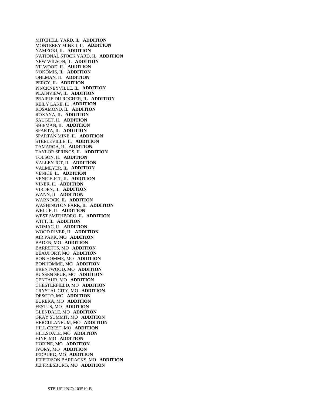MITCHELL YARD, IL **ADDITION**  MONTEREY MINE 1, IL **ADDITION**  NAMEOKI, IL **ADDITION**  NATIONAL STOCK YARD, IL **ADDITION**  NEW WILSON, IL **ADDITION**  NILWOOD, IL **ADDITION**  NOKOMIS, IL **ADDITION**  OHLMAN, IL **ADDITION**  PERCY, IL **ADDITION**  PINCKNEYVILLE, IL **ADDITION**  PLAINVIEW, IL **ADDITION**  PRAIRIE DU ROCHER, IL **ADDITION**  REILY LAKE, IL **ADDITION**  ROSAMOND, IL **ADDITION**  ROXANA, IL **ADDITION**  SAUGET, IL **ADDITION**  SHIPMAN, IL **ADDITION**  SPARTA, IL **ADDITION**  SPARTAN MINE, IL **ADDITION**  STEELEVILLE, IL **ADDITION**  TAMAROA, IL **ADDITION**  TAYLOR SPRINGS, IL **ADDITION**  TOLSON, IL **ADDITION**  VALLEY JCT, IL **ADDITION**  VALMEYER, IL **ADDITION**  VENICE, IL **ADDITION**  VENICE JCT, IL **ADDITION**  VINER, IL **ADDITION**  VIRDEN, IL **ADDITION**  WANN, IL **ADDITION**  WARNOCK, IL **ADDITION**  WASHINGTON PARK, IL **ADDITION**  WELGE, IL **ADDITION**  WEST SMITHBORO, IL **ADDITION**  WITT, IL **ADDITION**  WOMAC, IL **ADDITION**  WOOD RIVER, IL **ADDITION**  AIR PARK, MO **ADDITION**  BADEN, MO **ADDITION**  BARRETTS, MO **ADDITION**  BEAUFORT, MO **ADDITION**  BON HOMME, MO **ADDITION**  BONHOMME, MO **ADDITION**  BRENTWOOD, MO **ADDITION**  BUSSEN SPUR, MO **ADDITION**  CENTAUR, MO **ADDITION**  CHESTERFIELD, MO **ADDITION**  CRYSTAL CITY, MO **ADDITION**  DESOTO, MO **ADDITION**  EUREKA, MO **ADDITION**  FESTUS, MO **ADDITION**  GLENDALE, MO **ADDITION**  GRAY SUMMIT, MO **ADDITION**  HERCULANEUM, MO **ADDITION**  HILL CREST, MO **ADDITION**  HILLSDALE, MO **ADDITION**  HINE, MO **ADDITION**  HORINE, MO **ADDITION**  IVORY, MO **ADDITION**  JEDBURG, MO **ADDITION**  JEFFERSON BARRACKS, MO **ADDITION**  JEFFRIESBURG, MO **ADDITION**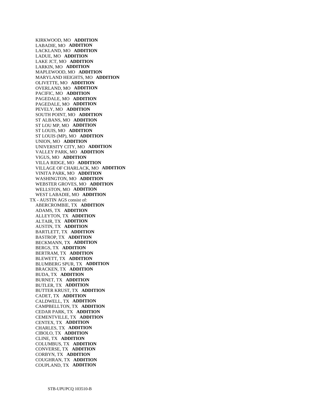KIRKWOOD, MO **ADDITION**  LABADIE, MO **ADDITION**  LACKLAND, MO **ADDITION**  LADUE, MO **ADDITION**  LAKE JCT, MO **ADDITION**  LARKIN, MO **ADDITION**  MAPLEWOOD, MO **ADDITION**  MARYLAND HEIGHTS, MO **ADDITION**  OLIVETTE, MO **ADDITION**  OVERLAND, MO **ADDITION**  PACIFIC, MO **ADDITION**  PAGEDALE, MO **ADDITION**  PAGEDALE, MO **ADDITION**  PEVELY, MO **ADDITION**  SOUTH POINT, MO **ADDITION**  ST ALBANS, MO **ADDITION**  ST LOU MP, MO **ADDITION**  ST LOUIS, MO **ADDITION**  ST LOUIS (MP), MO **ADDITION**  UNION, MO **ADDITION**  UNIVERSITY CITY, MO **ADDITION**  VALLEY PARK, MO **ADDITION**  VIGUS, MO **ADDITION**  VILLA RIDGE, MO **ADDITION**  VILLAGE OF CHARLACK, MO **ADDITION**  VINITA PARK, MO **ADDITION**  WASHINGTON, MO **ADDITION**  WEBSTER GROVES, MO **ADDITION**  WELLSTON, MO **ADDITION**  WEST LABADIE, MO **ADDITION**  TX - AUSTIN AGS consist of: ABERCROMBIE, TX **ADDITION**  ADAMS, TX **ADDITION**  ALLEYTON, TX **ADDITION**  ALTAIR, TX **ADDITION**  AUSTIN, TX **ADDITION**  BARTLETT, TX **ADDITION**  BASTROP, TX **ADDITION**  BECKMANN, TX **ADDITION**  BERGS, TX **ADDITION**  BERTRAM, TX **ADDITION**  BLEWETT, TX **ADDITION**  BLUMBERG SPUR, TX **ADDITION**  BRACKEN, TX **ADDITION**  BUDA, TX **ADDITION**  BURNET, TX **ADDITION**  BUTLER, TX **ADDITION**  BUTTER KRUST, TX **ADDITION**  CADET, TX **ADDITION**  CALDWELL, TX **ADDITION**  CAMPBELLTON, TX **ADDITION**  CEDAR PARK, TX **ADDITION**  CEMENTVILLE, TX **ADDITION**  CENTEX, TX **ADDITION**  CHARLES, TX **ADDITION**  CIBOLO, TX **ADDITION**  CLINE, TX **ADDITION**  COLUMBUS, TX **ADDITION**  CONVERSE, TX **ADDITION**  CORBYN, TX **ADDITION**  COUGHRAN, TX **ADDITION**  COUPLAND, TX **ADDITION**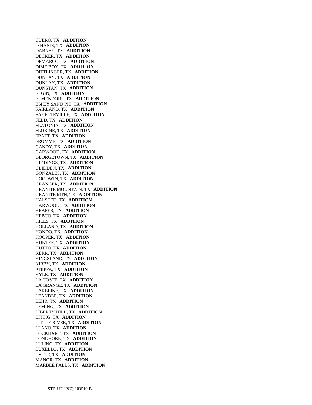CUERO, TX **ADDITION**  D HANIS, TX **ADDITION**  DABNEY, TX **ADDITION**  DECKER, TX **ADDITION**  DEMARCO, TX **ADDITION**  DIME BOX, TX **ADDITION**  DITTLINGER, TX **ADDITION**  DUNLAY, TX **ADDITION**  DUNLAY, TX **ADDITION**  DUNSTAN, TX **ADDITION**  ELGIN, TX **ADDITION**  ELMENDORF, TX **ADDITION**  ESPEY SAND PIT, TX **ADDITION**  FAIRLAND, TX **ADDITION**  FAYETTEVILLE, TX **ADDITION**  FELD, TX **ADDITION**  FLATONIA, TX **ADDITION**  FLORINE, TX **ADDITION**  FRATT, TX **ADDITION**  FROMME, TX **ADDITION**  GANDY, TX **ADDITION**  GARWOOD, TX **ADDITION**  GEORGETOWN, TX **ADDITION**  GIDDINGS, TX **ADDITION**  GLIDDEN, TX **ADDITION**  GONZALES, TX **ADDITION**  GOODWIN, TX **ADDITION**  GRANGER, TX **ADDITION**  GRANITE MOUNTAIN, TX **ADDITION**  GRANITE MTN, TX **ADDITION**  HALSTED, TX **ADDITION**  HARWOOD, TX **ADDITION**  HEAFER, TX **ADDITION**  HEBCO, TX **ADDITION**  HILLS, TX **ADDITION**  HOLLAND, TX **ADDITION**  HONDO, TX **ADDITION**  HOOPER, TX **ADDITION**  HUNTER, TX **ADDITION**  HUTTO, TX **ADDITION**  KERR, TX **ADDITION**  KINGSLAND, TX **ADDITION**  KIRBY, TX **ADDITION**  KNIPPA, TX **ADDITION**  KYLE, TX **ADDITION**  LA COSTE, TX **ADDITION**  LA GRANGE, TX **ADDITION**  LAKELINE, TX **ADDITION**  LEANDER, TX **ADDITION**  LEHR, TX **ADDITION**  LEMING, TX **ADDITION**  LIBERTY HILL, TX **ADDITION**  LITTIG, TX **ADDITION**  LITTLE RIVER, TX **ADDITION**  LLANO, TX **ADDITION**  LOCKHART, TX **ADDITION**  LONGHORN, TX **ADDITION**  LULING, TX **ADDITION**  LUXELLO, TX **ADDITION**  LYTLE, TX **ADDITION**  MANOR, TX **ADDITION**  MARBLE FALLS, TX **ADDITION**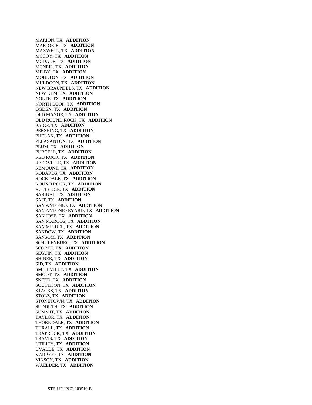MARION, TX **ADDITION**  MARJORIE, TX **ADDITION**  MAXWELL, TX **ADDITION**  MCCOY, TX **ADDITION**  MCDADE, TX **ADDITION**  MCNEIL, TX **ADDITION**  MILBY, TX **ADDITION**  MOULTON, TX **ADDITION**  MULDOON, TX **ADDITION**  NEW BRAUNFELS, TX **ADDITION**  NEW ULM, TX **ADDITION**  NOLTE, TX **ADDITION**  NORTH LOOP, TX **ADDITION**  OGDEN, TX **ADDITION**  OLD MANOR, TX **ADDITION**  OLD ROUND ROCK, TX **ADDITION**  PAIGE, TX **ADDITION**  PERSHING, TX **ADDITION**  PHELAN, TX **ADDITION**  PLEASANTON, TX **ADDITION**  PLUM, TX **ADDITION**  PURCELL, TX **ADDITION**  RED ROCK, TX **ADDITION**  REEDVILLE, TX **ADDITION**  REMOUNT, TX **ADDITION**  ROBARDS, TX **ADDITION**  ROCKDALE, TX **ADDITION**  ROUND ROCK, TX **ADDITION**  RUTLEDGE, TX **ADDITION**  SABINAL, TX **ADDITION**  SAIT, TX **ADDITION**  SAN ANTONIO, TX **ADDITION**  SAN ANTONIO EYARD, TX **ADDITION**  SAN JOSE, TX **ADDITION**  SAN MARCOS, TX **ADDITION**  SAN MIGUEL, TX **ADDITION**  SANDOW, TX **ADDITION**  SANSOM, TX **ADDITION**  SCHULENBURG, TX **ADDITION**  SCOBEE, TX **ADDITION**  SEGUIN, TX **ADDITION**  SHINER, TX **ADDITION**  SID, TX **ADDITION**  SMITHVILLE, TX **ADDITION**  SMOOT, TX **ADDITION**  SNEED, TX **ADDITION**  SOUTHTON, TX **ADDITION**  STACKS, TX **ADDITION**  STOLZ, TX **ADDITION**  STONETOWN, TX **ADDITION**  SUDDUTH, TX **ADDITION**  SUMMIT, TX **ADDITION**  TAYLOR, TX **ADDITION**  THORNDALE, TX **ADDITION**  THRALL, TX **ADDITION**  TRAPROCK, TX **ADDITION**  TRAVIS, TX **ADDITION**  UTILITY, TX **ADDITION**  UVALDE, TX **ADDITION**  VARISCO, TX **ADDITION**  VINSON, TX **ADDITION**  WAELDER, TX **ADDITION**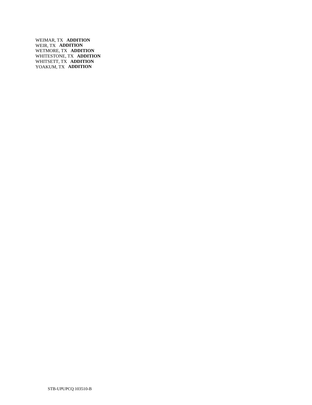WEIMAR, TX **ADDITION**  WEIR, TX **ADDITION**  WETMORE, TX **ADDITION**  WHITESTONE, TX **ADDITION**  WHITSETT, TX **ADDITION**  YOAKUM, TX **ADDITION**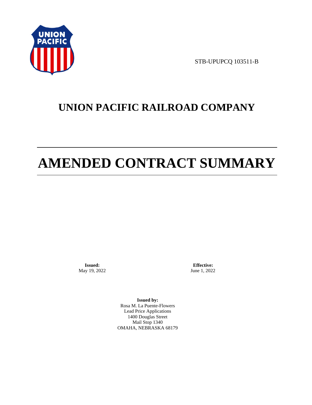

STB-UPUPCQ 103511-B

# **UNION PACIFIC RAILROAD COMPANY**

# **AMENDED CONTRACT SUMMARY**

**Issued:**  May 19, 2022

**Effective:** June 1, 2022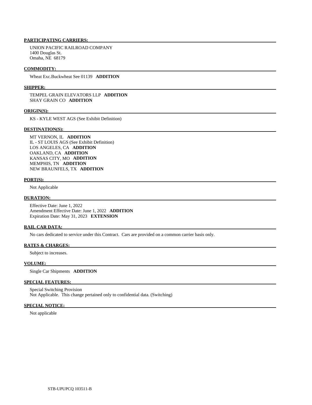UNION PACIFIC RAILROAD COMPANY 1400 Douglas St. Omaha, NE 68179

#### **COMMODITY:**

Wheat Exc.Buckwheat See 01139 **ADDITION** 

#### **SHIPPER:**

 TEMPEL GRAIN ELEVATORS LLP **ADDITION**  SHAY GRAIN CO **ADDITION** 

#### **ORIGIN(S):**

KS - KYLE WEST AGS (See Exhibit Definition)

#### **DESTINATION(S):**

 MT VERNON, IL **ADDITION**  IL - ST LOUIS AGS (See Exhibit Definition) LOS ANGELES, CA **ADDITION**  OAKLAND, CA **ADDITION**  KANSAS CITY, MO **ADDITION**  MEMPHIS, TN **ADDITION**  NEW BRAUNFELS, TX **ADDITION** 

#### **PORT(S):**

Not Applicable

#### **DURATION:**

 Effective Date: June 1, 2022 Amendment Effective Date: June 1, 2022 **ADDITION**  Expiration Date: May 31, 2023 **EXTENSION** 

#### **RAIL CAR DATA:**

No cars dedicated to service under this Contract. Cars are provided on a common carrier basis only.

#### **RATES & CHARGES:**

Subject to increases.

# **VOLUME:**

Single Car Shipments **ADDITION** 

### **SPECIAL FEATURES:**

 Special Switching Provision Not Applicable. This change pertained only to confidential data. (Switching)

#### **SPECIAL NOTICE:**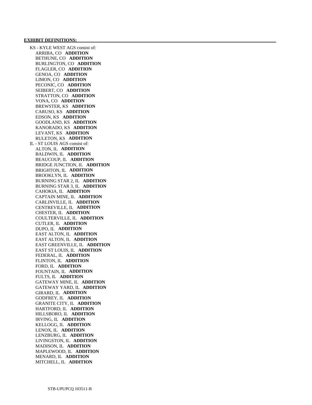#### **EXHIBIT DEFINITIONS:**

 KS - KYLE WEST AGS consist of: ARRIBA, CO **ADDITION**  BETHUNE, CO **ADDITION**  BURLINGTON, CO **ADDITION**  FLAGLER, CO **ADDITION**  GENOA, CO **ADDITION**  LIMON, CO **ADDITION**  PECONIC, CO **ADDITION**  SEIBERT, CO **ADDITION**  STRATTON, CO **ADDITION**  VONA, CO **ADDITION**  BREWSTER, KS **ADDITION**  CARUSO, KS **ADDITION**  EDSON, KS **ADDITION**  GOODLAND, KS **ADDITION**  KANORADO, KS **ADDITION**  LEVANT, KS **ADDITION**  RULETON, KS **ADDITION**  IL - ST LOUIS AGS consist of: ALTON, IL **ADDITION**  BALDWIN, IL **ADDITION**  BEAUCOUP, IL **ADDITION**  BRIDGE JUNCTION, IL **ADDITION**  BRIGHTON, IL **ADDITION**  BROOKLYN, IL **ADDITION**  BURNING STAR 2, IL **ADDITION**  BURNING STAR 3, IL **ADDITION**  CAHOKIA, IL **ADDITION**  CAPTAIN MINE, IL **ADDITION**  CARLINVILLE, IL **ADDITION**  CENTREVILLE, IL **ADDITION**  CHESTER, IL **ADDITION**  COULTERVILLE, IL **ADDITION**  CUTLER, IL **ADDITION**  DUPO, IL **ADDITION**  EAST ALTON, IL **ADDITION**  EAST ALTON, IL **ADDITION**  EAST GREENVILLE, IL **ADDITION**  EAST ST LOUIS, IL **ADDITION**  FEDERAL, IL **ADDITION**  FLINTON, IL **ADDITION**  FORD, IL **ADDITION**  FOUNTAIN, IL **ADDITION**  FULTS, IL **ADDITION**  GATEWAY MINE, IL **ADDITION**  GATEWAY YARD, IL **ADDITION**  GIRARD, IL **ADDITION**  GODFREY, IL **ADDITION**  GRANITE CITY, IL **ADDITION**  HARTFORD, IL **ADDITION**  HILLSBORO, IL **ADDITION**  IRVING, IL **ADDITION**  KELLOGG, IL **ADDITION**  LENOX, IL **ADDITION**  LENZBURG, IL **ADDITION**  LIVINGSTON, IL **ADDITION**  MADISON, IL **ADDITION**  MAPLEWOOD, IL **ADDITION**  MENARD, IL **ADDITION**  MITCHELL, IL **ADDITION**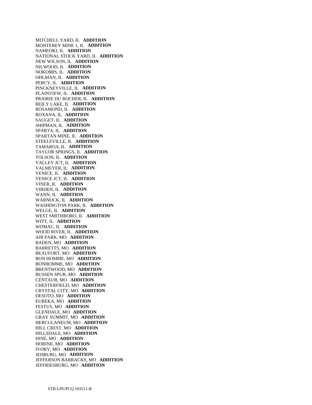MITCHELL YARD, IL **ADDITION**  MONTEREY MINE 1, IL **ADDITION**  NAMEOKI, IL **ADDITION**  NATIONAL STOCK YARD, IL **ADDITION**  NEW WILSON, IL **ADDITION**  NILWOOD, IL **ADDITION**  NOKOMIS, IL **ADDITION**  OHLMAN, IL **ADDITION**  PERCY, IL **ADDITION**  PINCKNEYVILLE, IL **ADDITION**  PLAINVIEW, IL **ADDITION**  PRAIRIE DU ROCHER, IL **ADDITION**  REILY LAKE, IL **ADDITION**  ROSAMOND, IL **ADDITION**  ROXANA, IL **ADDITION**  SAUGET, IL **ADDITION**  SHIPMAN, IL **ADDITION**  SPARTA, IL **ADDITION**  SPARTAN MINE, IL **ADDITION**  STEELEVILLE, IL **ADDITION**  TAMAROA, IL **ADDITION**  TAYLOR SPRINGS, IL **ADDITION**  TOLSON, IL **ADDITION**  VALLEY JCT, IL **ADDITION**  VALMEYER, IL **ADDITION**  VENICE, IL **ADDITION**  VENICE JCT, IL **ADDITION**  VINER, IL **ADDITION**  VIRDEN, IL **ADDITION**  WANN, IL **ADDITION**  WARNOCK, IL **ADDITION**  WASHINGTON PARK, IL **ADDITION**  WELGE, IL **ADDITION**  WEST SMITHBORO, IL **ADDITION**  WITT, IL **ADDITION**  WOMAC, IL **ADDITION**  WOOD RIVER, IL **ADDITION**  AIR PARK, MO **ADDITION**  BADEN, MO **ADDITION**  BARRETTS, MO **ADDITION**  BEAUFORT, MO **ADDITION**  BON HOMME, MO **ADDITION**  BONHOMME, MO **ADDITION**  BRENTWOOD, MO **ADDITION**  BUSSEN SPUR, MO **ADDITION**  CENTAUR, MO **ADDITION**  CHESTERFIELD, MO **ADDITION**  CRYSTAL CITY, MO **ADDITION**  DESOTO, MO **ADDITION**  EUREKA, MO **ADDITION**  FESTUS, MO **ADDITION**  GLENDALE, MO **ADDITION**  GRAY SUMMIT, MO **ADDITION**  HERCULANEUM, MO **ADDITION**  HILL CREST, MO **ADDITION**  HILLSDALE, MO **ADDITION**  HINE, MO **ADDITION**  HORINE, MO **ADDITION**  IVORY, MO **ADDITION**  JEDBURG, MO **ADDITION**  JEFFERSON BARRACKS, MO **ADDITION**  JEFFRIESBURG, MO **ADDITION**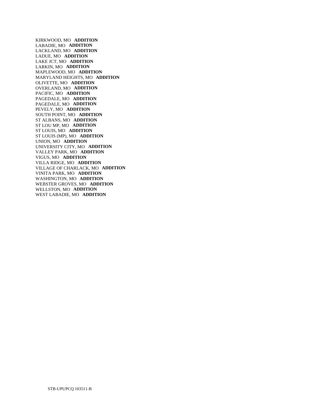KIRKWOOD, MO **ADDITION**  LABADIE, MO **ADDITION**  LACKLAND, MO **ADDITION**  LADUE, MO **ADDITION**  LAKE JCT, MO **ADDITION**  LARKIN, MO **ADDITION**  MAPLEWOOD, MO **ADDITION**  MARYLAND HEIGHTS, MO **ADDITION**  OLIVETTE, MO **ADDITION**  OVERLAND, MO **ADDITION**  PACIFIC, MO **ADDITION**  PAGEDALE, MO **ADDITION**  PAGEDALE, MO **ADDITION**  PEVELY, MO **ADDITION**  SOUTH POINT, MO **ADDITION**  ST ALBANS, MO **ADDITION**  ST LOU MP, MO **ADDITION**  ST LOUIS, MO **ADDITION**  ST LOUIS (MP), MO **ADDITION**  UNION, MO **ADDITION**  UNIVERSITY CITY, MO **ADDITION**  VALLEY PARK, MO **ADDITION**  VIGUS, MO **ADDITION**  VILLA RIDGE, MO **ADDITION**  VILLAGE OF CHARLACK, MO **ADDITION**  VINITA PARK, MO **ADDITION**  WASHINGTON, MO **ADDITION**  WEBSTER GROVES, MO **ADDITION**  WELLSTON, MO **ADDITION**  WEST LABADIE, MO **ADDITION**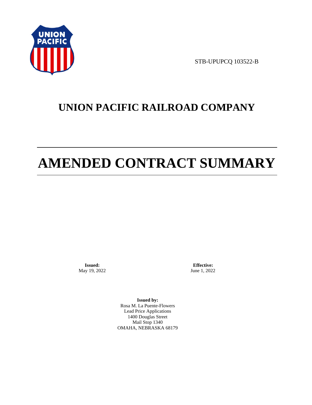

STB-UPUPCQ 103522-B

# **UNION PACIFIC RAILROAD COMPANY**

# **AMENDED CONTRACT SUMMARY**

**Issued:**  May 19, 2022

**Effective:** June 1, 2022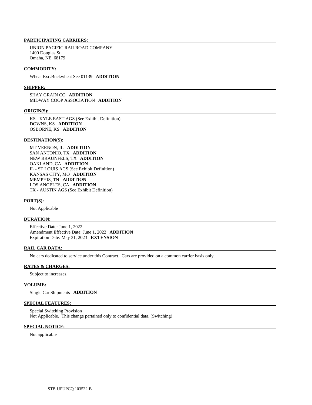UNION PACIFIC RAILROAD COMPANY 1400 Douglas St. Omaha, NE 68179

#### **COMMODITY:**

Wheat Exc.Buckwheat See 01139 **ADDITION** 

#### **SHIPPER:**

 SHAY GRAIN CO **ADDITION**  MIDWAY COOP ASSOCIATION **ADDITION** 

#### **ORIGIN(S):**

 KS - KYLE EAST AGS (See Exhibit Definition) DOWNS, KS **ADDITION**  OSBORNE, KS **ADDITION** 

#### **DESTINATION(S):**

 MT VERNON, IL **ADDITION**  SAN ANTONIO, TX **ADDITION**  NEW BRAUNFELS, TX **ADDITION**  OAKLAND, CA **ADDITION**  IL - ST LOUIS AGS (See Exhibit Definition) KANSAS CITY, MO **ADDITION**  MEMPHIS, TN **ADDITION**  LOS ANGELES, CA **ADDITION**  TX - AUSTIN AGS (See Exhibit Definition)

#### **PORT(S):**

Not Applicable

# **DURATION:**

 Effective Date: June 1, 2022 Amendment Effective Date: June 1, 2022 **ADDITION**  Expiration Date: May 31, 2023 **EXTENSION** 

#### **RAIL CAR DATA:**

No cars dedicated to service under this Contract. Cars are provided on a common carrier basis only.

#### **RATES & CHARGES:**

Subject to increases.

#### **VOLUME:**

Single Car Shipments **ADDITION** 

## **SPECIAL FEATURES:**

 Special Switching Provision Not Applicable. This change pertained only to confidential data. (Switching)

### **SPECIAL NOTICE:**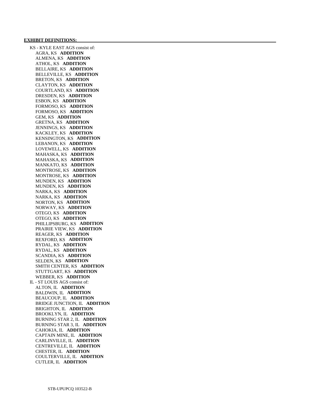KS - KYLE EAST AGS consist of: AGRA, KS **ADDITION**  ALMENA, KS **ADDITION**  ATHOL, KS **ADDITION**  BELLAIRE, KS **ADDITION**  BELLEVILLE, KS **ADDITION**  BRETON, KS **ADDITION**  CLAYTON, KS **ADDITION**  COURTLAND, KS **ADDITION**  DRESDEN, KS **ADDITION**  ESBON, KS **ADDITION**  FORMOSO, KS **ADDITION**  FORMOSO, KS **ADDITION**  GEM, KS **ADDITION**  GRETNA, KS **ADDITION**  JENNINGS, KS **ADDITION**  KACKLEY, KS **ADDITION**  KENSINGTON, KS **ADDITION**  LEBANON, KS **ADDITION**  LOVEWELL, KS **ADDITION**  MAHASKA, KS **ADDITION**  MAHASKA, KS **ADDITION**  MANKATO, KS **ADDITION**  MONTROSE, KS **ADDITION**  MONTROSE, KS **ADDITION**  MUNDEN, KS **ADDITION**  MUNDEN, KS **ADDITION**  NARKA, KS **ADDITION**  NARKA, KS **ADDITION**  NORTON, KS **ADDITION**  NORWAY, KS **ADDITION**  OTEGO, KS **ADDITION**  OTEGO, KS **ADDITION**  PHILLIPSBURG, KS **ADDITION**  PRAIRIE VIEW, KS **ADDITION**  REAGER, KS **ADDITION**  REXFORD, KS **ADDITION**  RYDAL, KS **ADDITION**  RYDAL, KS **ADDITION**  SCANDIA, KS **ADDITION**  SELDEN, KS **ADDITION**  SMITH CENTER, KS **ADDITION**  STUTTGART, KS **ADDITION**  WEBBER, KS **ADDITION**  IL - ST LOUIS AGS consist of: ALTON, IL **ADDITION**  BALDWIN, IL **ADDITION**  BEAUCOUP, IL **ADDITION**  BRIDGE JUNCTION, IL **ADDITION**  BRIGHTON, IL **ADDITION**  BROOKLYN, IL **ADDITION**  BURNING STAR 2, IL **ADDITION**  BURNING STAR 3, IL **ADDITION**  CAHOKIA, IL **ADDITION**  CAPTAIN MINE, IL **ADDITION**  CARLINVILLE, IL **ADDITION**  CENTREVILLE, IL **ADDITION**  CHESTER, IL **ADDITION**  COULTERVILLE, IL **ADDITION**  CUTLER, IL **ADDITION**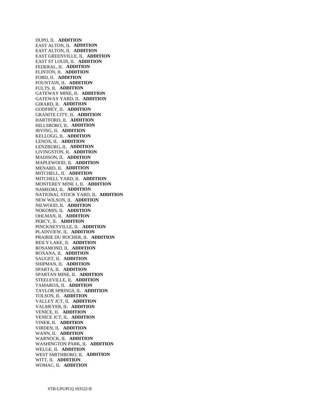DUPO, IL **ADDITION**  EAST ALTON, IL **ADDITION**  EAST ALTON, IL **ADDITION**  EAST GREENVILLE, IL **ADDITION**  EAST ST LOUIS, IL **ADDITION**  FEDERAL, IL **ADDITION**  FLINTON, IL **ADDITION**  FORD, IL **ADDITION**  FOUNTAIN, IL **ADDITION**  FULTS, IL **ADDITION**  GATEWAY MINE, IL **ADDITION**  GATEWAY YARD, IL **ADDITION**  GIRARD, IL **ADDITION**  GODFREY, IL **ADDITION**  GRANITE CITY, IL **ADDITION**  HARTFORD, IL **ADDITION**  HILLSBORO, IL **ADDITION**  IRVING, IL **ADDITION**  KELLOGG, IL **ADDITION**  LENOX, IL **ADDITION**  LENZBURG, IL **ADDITION**  LIVINGSTON, IL **ADDITION**  MADISON, IL **ADDITION**  MAPLEWOOD, IL **ADDITION**  MENARD, IL **ADDITION**  MITCHELL, IL **ADDITION**  MITCHELL YARD, IL **ADDITION**  MONTEREY MINE 1, IL **ADDITION**  NAMEOKI, IL **ADDITION**  NATIONAL STOCK YARD, IL **ADDITION**  NEW WILSON, IL **ADDITION**  NILWOOD, IL **ADDITION**  NOKOMIS, IL **ADDITION**  OHLMAN, IL **ADDITION**  PERCY, IL **ADDITION**  PINCKNEYVILLE, IL **ADDITION**  PLAINVIEW, IL **ADDITION**  PRAIRIE DU ROCHER, IL **ADDITION**  REILY LAKE, IL **ADDITION**  ROSAMOND, IL **ADDITION**  ROXANA, IL **ADDITION**  SAUGET, IL **ADDITION**  SHIPMAN, IL **ADDITION**  SPARTA, IL **ADDITION**  SPARTAN MINE, IL **ADDITION**  STEELEVILLE, IL **ADDITION**  TAMAROA, IL **ADDITION**  TAYLOR SPRINGS, IL **ADDITION**  TOLSON, IL **ADDITION**  VALLEY JCT, IL **ADDITION**  VALMEYER, IL **ADDITION**  VENICE, IL **ADDITION**  VENICE JCT, IL **ADDITION**  VINER, IL **ADDITION**  VIRDEN, IL **ADDITION**  WANN, IL **ADDITION**  WARNOCK, IL **ADDITION**  WASHINGTON PARK, IL **ADDITION**  WELGE, IL **ADDITION**  WEST SMITHBORO, IL **ADDITION**  WITT, IL **ADDITION**  WOMAC, IL **ADDITION**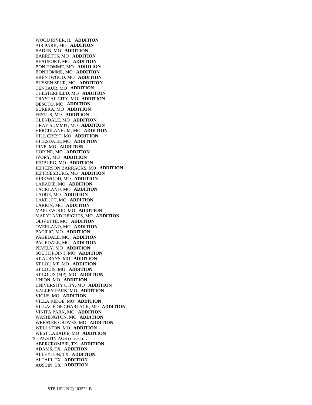WOOD RIVER, IL **ADDITION**  AIR PARK, MO **ADDITION**  BADEN, MO **ADDITION**  BARRETTS, MO **ADDITION**  BEAUFORT, MO **ADDITION**  BON HOMME, MO **ADDITION**  BONHOMME, MO **ADDITION**  BRENTWOOD, MO **ADDITION**  BUSSEN SPUR, MO **ADDITION**  CENTAUR, MO **ADDITION**  CHESTERFIELD, MO **ADDITION**  CRYSTAL CITY, MO **ADDITION**  DESOTO, MO **ADDITION**  EUREKA, MO **ADDITION**  FESTUS, MO **ADDITION**  GLENDALE, MO **ADDITION**  GRAY SUMMIT, MO **ADDITION**  HERCULANEUM, MO **ADDITION**  HILL CREST, MO **ADDITION**  HILLSDALE, MO **ADDITION**  HINE, MO **ADDITION**  HORINE, MO **ADDITION**  IVORY, MO **ADDITION**  JEDBURG, MO **ADDITION**  JEFFERSON BARRACKS, MO **ADDITION**  JEFFRIESBURG, MO **ADDITION**  KIRKWOOD, MO **ADDITION**  LABADIE, MO **ADDITION**  LACKLAND, MO **ADDITION**  LADUE, MO **ADDITION**  LAKE JCT, MO **ADDITION**  LARKIN, MO **ADDITION**  MAPLEWOOD, MO **ADDITION**  MARYLAND HEIGHTS, MO **ADDITION**  OLIVETTE, MO **ADDITION**  OVERLAND, MO **ADDITION**  PACIFIC, MO **ADDITION**  PAGEDALE, MO **ADDITION**  PAGEDALE, MO **ADDITION**  PEVELY, MO **ADDITION**  SOUTH POINT, MO **ADDITION**  ST ALBANS, MO **ADDITION**  ST LOU MP, MO **ADDITION**  ST LOUIS, MO **ADDITION**  ST LOUIS (MP), MO **ADDITION**  UNION, MO **ADDITION**  UNIVERSITY CITY, MO **ADDITION**  VALLEY PARK, MO **ADDITION**  VIGUS, MO **ADDITION**  VILLA RIDGE, MO **ADDITION**  VILLAGE OF CHARLACK, MO **ADDITION**  VINITA PARK, MO **ADDITION**  WASHINGTON, MO **ADDITION**  WEBSTER GROVES, MO **ADDITION**  WELLSTON, MO **ADDITION**  WEST LABADIE, MO **ADDITION**  TX - AUSTIN AGS consist of: ABERCROMBIE, TX **ADDITION**  ADAMS, TX **ADDITION**  ALLEYTON, TX **ADDITION**  ALTAIR, TX **ADDITION**  AUSTIN, TX **ADDITION**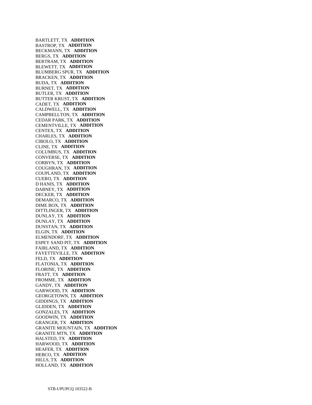BARTLETT, TX **ADDITION**  BASTROP, TX **ADDITION**  BECKMANN, TX **ADDITION**  BERGS, TX **ADDITION**  BERTRAM, TX **ADDITION**  BLEWETT, TX **ADDITION**  BLUMBERG SPUR, TX **ADDITION**  BRACKEN, TX **ADDITION**  BUDA, TX **ADDITION**  BURNET, TX **ADDITION**  BUTLER, TX **ADDITION**  BUTTER KRUST, TX **ADDITION**  CADET, TX **ADDITION**  CALDWELL, TX **ADDITION**  CAMPBELLTON, TX **ADDITION**  CEDAR PARK, TX **ADDITION**  CEMENTVILLE, TX **ADDITION**  CENTEX, TX **ADDITION**  CHARLES, TX **ADDITION**  CIBOLO, TX **ADDITION**  CLINE, TX **ADDITION**  COLUMBUS, TX **ADDITION**  CONVERSE, TX **ADDITION**  CORBYN, TX **ADDITION**  COUGHRAN, TX **ADDITION**  COUPLAND, TX **ADDITION**  CUERO, TX **ADDITION**  D HANIS, TX **ADDITION**  DABNEY, TX **ADDITION**  DECKER, TX **ADDITION**  DEMARCO, TX **ADDITION**  DIME BOX, TX **ADDITION**  DITTLINGER, TX **ADDITION**  DUNLAY, TX **ADDITION**  DUNLAY, TX **ADDITION**  DUNSTAN, TX **ADDITION**  ELGIN, TX **ADDITION**  ELMENDORF, TX **ADDITION**  ESPEY SAND PIT, TX **ADDITION**  FAIRLAND, TX **ADDITION**  FAYETTEVILLE, TX **ADDITION**  FELD, TX **ADDITION**  FLATONIA, TX **ADDITION**  FLORINE, TX **ADDITION**  FRATT, TX **ADDITION**  FROMME, TX **ADDITION**  GANDY, TX **ADDITION**  GARWOOD, TX **ADDITION**  GEORGETOWN, TX **ADDITION**  GIDDINGS, TX **ADDITION**  GLIDDEN, TX **ADDITION**  GONZALES, TX **ADDITION**  GOODWIN, TX **ADDITION**  GRANGER, TX **ADDITION**  GRANITE MOUNTAIN, TX **ADDITION**  GRANITE MTN, TX **ADDITION**  HALSTED, TX **ADDITION**  HARWOOD, TX **ADDITION**  HEAFER, TX **ADDITION**  HEBCO, TX **ADDITION**  HILLS, TX **ADDITION**  HOLLAND, TX **ADDITION**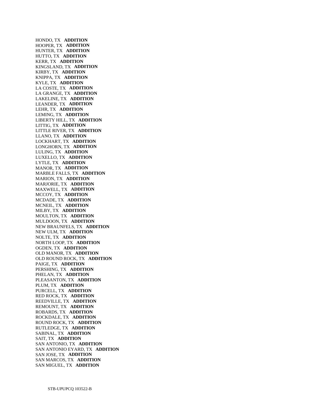HONDO, TX **ADDITION**  HOOPER, TX **ADDITION**  HUNTER, TX **ADDITION**  HUTTO, TX **ADDITION**  KERR, TX **ADDITION**  KINGSLAND, TX **ADDITION**  KIRBY, TX **ADDITION**  KNIPPA, TX **ADDITION**  KYLE, TX **ADDITION**  LA COSTE, TX **ADDITION**  LA GRANGE, TX **ADDITION**  LAKELINE, TX **ADDITION**  LEANDER, TX **ADDITION**  LEHR, TX **ADDITION**  LEMING, TX **ADDITION**  LIBERTY HILL, TX **ADDITION**  LITTIG, TX **ADDITION**  LITTLE RIVER, TX **ADDITION**  LLANO, TX **ADDITION**  LOCKHART, TX **ADDITION**  LONGHORN, TX **ADDITION**  LULING, TX **ADDITION**  LUXELLO, TX **ADDITION**  LYTLE, TX **ADDITION**  MANOR, TX **ADDITION**  MARBLE FALLS, TX **ADDITION**  MARION, TX **ADDITION**  MARJORIE, TX **ADDITION**  MAXWELL, TX **ADDITION**  MCCOY, TX **ADDITION**  MCDADE, TX **ADDITION**  MCNEIL, TX **ADDITION**  MILBY, TX **ADDITION**  MOULTON, TX **ADDITION**  MULDOON, TX **ADDITION**  NEW BRAUNFELS, TX **ADDITION**  NEW ULM, TX **ADDITION**  NOLTE, TX **ADDITION**  NORTH LOOP, TX **ADDITION**  OGDEN, TX **ADDITION**  OLD MANOR, TX **ADDITION**  OLD ROUND ROCK, TX **ADDITION**  PAIGE, TX **ADDITION**  PERSHING, TX **ADDITION**  PHELAN, TX **ADDITION**  PLEASANTON, TX **ADDITION**  PLUM, TX **ADDITION**  PURCELL, TX **ADDITION**  RED ROCK, TX **ADDITION**  REEDVILLE, TX **ADDITION**  REMOUNT, TX **ADDITION**  ROBARDS, TX **ADDITION**  ROCKDALE, TX **ADDITION**  ROUND ROCK, TX **ADDITION**  RUTLEDGE, TX **ADDITION**  SABINAL, TX **ADDITION**  SAIT, TX **ADDITION**  SAN ANTONIO, TX **ADDITION**  SAN ANTONIO EYARD, TX **ADDITION**  SAN JOSE, TX **ADDITION**  SAN MARCOS, TX **ADDITION**  SAN MIGUEL, TX **ADDITION**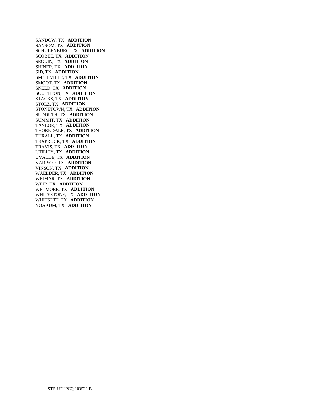SANDOW, TX **ADDITION**  SANSOM, TX **ADDITION**  SCHULENBURG, TX **ADDITION**  SCOBEE, TX **ADDITION**  SEGUIN, TX **ADDITION**  SHINER, TX **ADDITION**  SID, TX **ADDITION**  SMITHVILLE, TX **ADDITION**  SMOOT, TX **ADDITION**  SNEED, TX **ADDITION**  SOUTHTON, TX **ADDITION**  STACKS, TX **ADDITION**  STOLZ, TX **ADDITION**  STONETOWN, TX **ADDITION**  SUDDUTH, TX **ADDITION**  SUMMIT, TX **ADDITION**  TAYLOR, TX **ADDITION**  THORNDALE, TX **ADDITION**  THRALL, TX **ADDITION**  TRAPROCK, TX **ADDITION**  TRAVIS, TX **ADDITION**  UTILITY, TX **ADDITION**  UVALDE, TX **ADDITION**  VARISCO, TX **ADDITION**  VINSON, TX **ADDITION**  WAELDER, TX **ADDITION**  WEIMAR, TX **ADDITION**  WEIR, TX **ADDITION**  WETMORE, TX **ADDITION**  WHITESTONE, TX **ADDITION**  WHITSETT, TX **ADDITION**  YOAKUM, TX **ADDITION**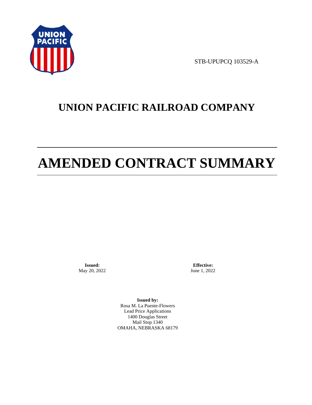

STB-UPUPCQ 103529-A

# **UNION PACIFIC RAILROAD COMPANY**

# **AMENDED CONTRACT SUMMARY**

**Issued:**  May 20, 2022

**Effective:** June 1, 2022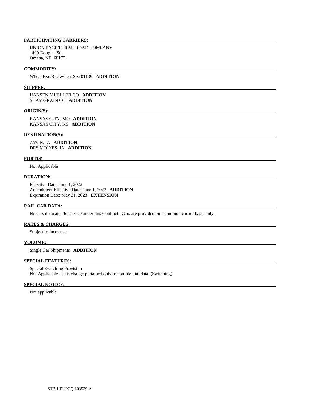UNION PACIFIC RAILROAD COMPANY 1400 Douglas St. Omaha, NE 68179

#### **COMMODITY:**

Wheat Exc.Buckwheat See 01139 **ADDITION** 

#### **SHIPPER:**

 HANSEN MUELLER CO **ADDITION**  SHAY GRAIN CO **ADDITION** 

#### **ORIGIN(S):**

 KANSAS CITY, MO **ADDITION**  KANSAS CITY, KS **ADDITION** 

#### **DESTINATION(S):**

 AVON, IA **ADDITION**  DES MOINES, IA **ADDITION** 

#### **PORT(S):**

Not Applicable

# **DURATION:**

 Effective Date: June 1, 2022 Amendment Effective Date: June 1, 2022 **ADDITION**  Expiration Date: May 31, 2023 **EXTENSION** 

#### **RAIL CAR DATA:**

No cars dedicated to service under this Contract. Cars are provided on a common carrier basis only.

#### **RATES & CHARGES:**

Subject to increases.

# **VOLUME:**

Single Car Shipments **ADDITION** 

# **SPECIAL FEATURES:**

 Special Switching Provision Not Applicable. This change pertained only to confidential data. (Switching)

#### **SPECIAL NOTICE:**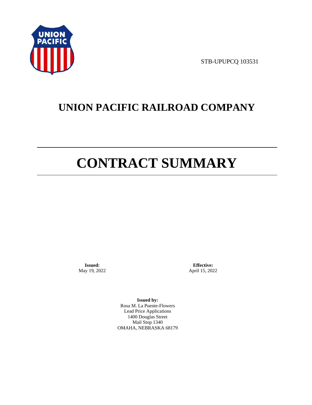

STB-UPUPCQ 103531

# **UNION PACIFIC RAILROAD COMPANY**

# **CONTRACT SUMMARY**

**Issued:**  May 19, 2022

**Effective:** April 15, 2022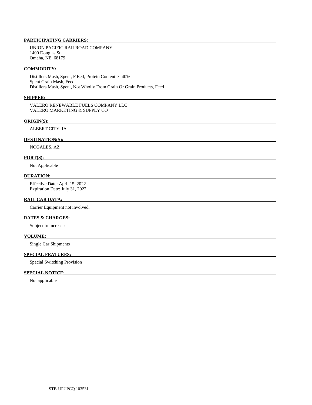UNION PACIFIC RAILROAD COMPANY 1400 Douglas St. Omaha, NE 68179

#### **COMMODITY:**

 Distillers Mash, Spent, F Eed, Protein Content >=40% Spent Grain Mash, Feed Distillers Mash, Spent, Not Wholly From Grain Or Grain Products, Feed

## **SHIPPER:**

 VALERO RENEWABLE FUELS COMPANY LLC VALERO MARKETING & SUPPLY CO

#### **ORIGIN(S):**

ALBERT CITY, IA

# **DESTINATION(S):**

NOGALES, AZ

### **PORT(S):**

Not Applicable

## **DURATION:**

 Effective Date: April 15, 2022 Expiration Date: July 31, 2022

#### **RAIL CAR DATA:**

Carrier Equipment not involved.

# **RATES & CHARGES:**

Subject to increases.

#### **VOLUME:**

Single Car Shipments

# **SPECIAL FEATURES:**

Special Switching Provision

# **SPECIAL NOTICE:**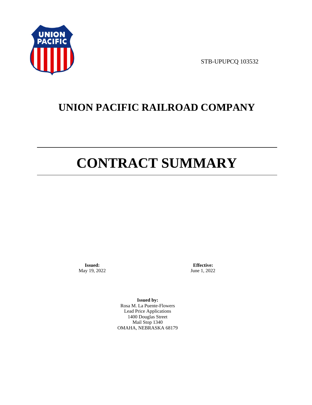

STB-UPUPCQ 103532

# **UNION PACIFIC RAILROAD COMPANY**

# **CONTRACT SUMMARY**

**Issued:**  May 19, 2022

**Effective:** June 1, 2022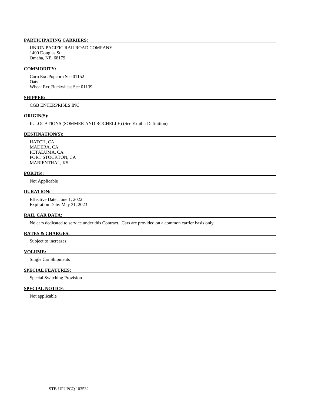UNION PACIFIC RAILROAD COMPANY 1400 Douglas St. Omaha, NE 68179

#### **COMMODITY:**

 Corn Exc.Popcorn See 01152 Oats Wheat Exc.Buckwheat See 01139

#### **SHIPPER:**

CGB ENTERPRISES INC

#### **ORIGIN(S):**

IL LOCATIONS (SOMMER AND ROCHELLE) (See Exhibit Definition)

# **DESTINATION(S):**

 HATCH, CA MADERA, CA PETALUMA, CA PORT STOCKTON, CA MARIENTHAL, KS

#### **PORT(S):**

Not Applicable

## **DURATION:**

 Effective Date: June 1, 2022 Expiration Date: May 31, 2023

# **RAIL CAR DATA:**

No cars dedicated to service under this Contract. Cars are provided on a common carrier basis only.

## **RATES & CHARGES:**

Subject to increases.

#### **VOLUME:**

Single Car Shipments

## **SPECIAL FEATURES:**

Special Switching Provision

# **SPECIAL NOTICE:**